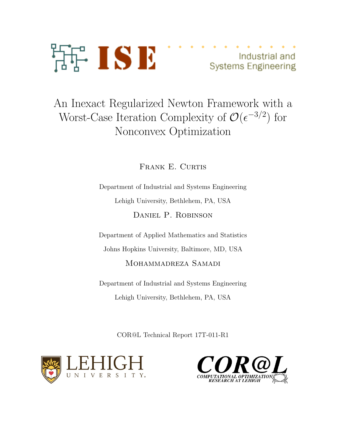

Industrial and **Systems Engineering** 

# An Inexact Regularized Newton Framework with a Worst-Case Iteration Complexity of  $\mathcal{O}(\epsilon^{-3/2})$  for Nonconvex Optimization

FRANK E. CURTIS

Department of Industrial and Systems Engineering Lehigh University, Bethlehem, PA, USA DANIEL P. ROBINSON

Department of Applied Mathematics and Statistics Johns Hopkins University, Baltimore, MD, USA MOHAMMADREZA SAMADI

Department of Industrial and Systems Engineering Lehigh University, Bethlehem, PA, USA

COR@L Technical Report 17T-011-R1



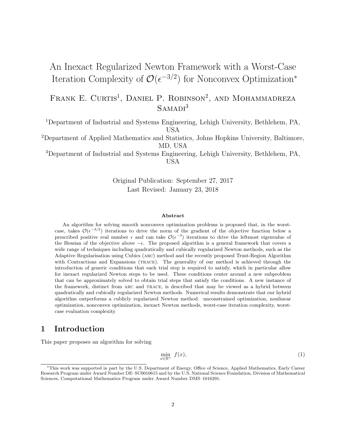## An Inexact Regularized Newton Framework with a Worst-Case Iteration Complexity of  $\mathcal{O}(\epsilon^{-3/2})$  for Nonconvex Optimization<sup>\*</sup>

FRANK E. CURTIS<sup>1</sup>, DANIEL P. ROBINSON<sup>2</sup>, AND MOHAMMADREZA  $SAMADI<sup>3</sup>$ 

<sup>1</sup>Department of Industrial and Systems Engineering, Lehigh University, Bethlehem, PA, USA

<sup>2</sup>Department of Applied Mathematics and Statistics, Johns Hopkins University, Baltimore, MD, USA

<sup>3</sup>Department of Industrial and Systems Engineering, Lehigh University, Bethlehem, PA, USA

> Original Publication: September 27, 2017 Last Revised: January 23, 2018

#### Abstract

An algorithm for solving smooth nonconvex optimization problems is proposed that, in the worstcase, takes  $\mathcal{O}(\epsilon^{-3/2})$  iterations to drive the norm of the gradient of the objective function below a prescribed positive real number  $\epsilon$  and can take  $\mathcal{O}(\epsilon^{-3})$  iterations to drive the leftmost eigenvalue of the Hessian of the objective above  $-\epsilon$ . The proposed algorithm is a general framework that covers a wide range of techniques including quadratically and cubically regularized Newton methods, such as the Adaptive Regularisation using Cubics (arc) method and the recently proposed Trust-Region Algorithm with Contractions and Expansions (TRACE). The generality of our method is achieved through the introduction of generic conditions that each trial step is required to satisfy, which in particular allow for inexact regularized Newton steps to be used. These conditions center around a new subproblem that can be approximately solved to obtain trial steps that satisfy the conditions. A new instance of the framework, distinct from arc and trace, is described that may be viewed as a hybrid between quadratically and cubically regularized Newton methods. Numerical results demonstrate that our hybrid algorithm outperforms a cublicly regularized Newton method. unconstrained optimization, nonlinear optimization, nonconvex optimization, inexact Newton methods, worst-case iteration complexity, worstcase evaluation complexity

## 1 Introduction

This paper proposes an algorithm for solving

<span id="page-1-0"></span>
$$
\min_{x \in \mathbb{R}^n} f(x),\tag{1}
$$

<sup>∗</sup>This work was supported in part by the U.S. Department of Energy, Office of Science, Applied Mathematics, Early Career Research Program under Award Number DE–SC0010615 and by the U.S. National Science Foundation, Division of Mathematical Sciences, Computational Mathematics Program under Award Number DMS–1016291.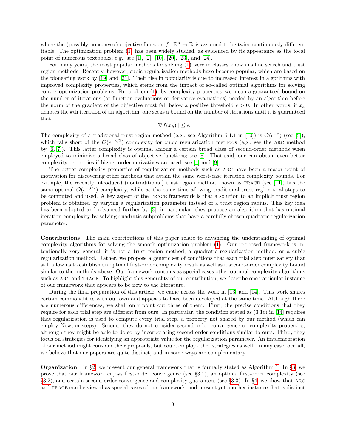where the (possibly nonconvex) objective function  $f : \mathbb{R}^n \to \mathbb{R}$  is assumed to be twice-continuously differentiable. The optimization problem [\(1\)](#page-1-0) has been widely studied, as evidenced by its appearance as the focal point of numerous textbooks; e.g., see [\[1\]](#page-27-0), [\[2\]](#page-27-1), [\[10\]](#page-27-2), [\[20\]](#page-28-0), [\[23\]](#page-28-1), and [\[24\]](#page-28-2).

For many years, the most popular methods for solving [\(1\)](#page-1-0) were in classes known as line search and trust region methods. Recently, however, cubic regularization methods have become popular, which are based on the pioneering work by [\[19\]](#page-28-3) and [\[21\]](#page-28-4). Their rise in popularity is due to increased interest in algorithms with improved complexity properties, which stems from the impact of so-called optimal algorithms for solving convex optimization problems. For problem [\(1\)](#page-1-0), by complexity properties, we mean a guaranteed bound on the number of iterations (or function evaluations or derivative evaluations) needed by an algorithm before the norm of the gradient of the objective must fall below a positive threshold  $\epsilon > 0$ . In other words, if  $x_k$ denotes the kth iteration of an algorithm, one seeks a bound on the number of iterations until it is guaranteed that

$$
\|\nabla f(x_k)\| \le \epsilon.
$$

The complexity of a traditional trust region method (e.g., see Algorithm 6.1.1 in [\[10\]](#page-27-2)) is  $\mathcal{O}(\epsilon^{-2})$  (see [\[5\]](#page-27-3)), which falls short of the  $\mathcal{O}(\epsilon^{-3/2})$  complexity for cubic regularization methods (e.g., see the ARC method by [\[6,](#page-27-4) [7\]](#page-27-5)). This latter complexity is optimal among a certain broad class of second-order methods when employed to minimize a broad class of objective functions; see [\[8\]](#page-27-6). That said, one can obtain even better complexity properties if higher-order derivatives are used; see [\[4\]](#page-27-7) and [\[9\]](#page-27-8).

The better complexity properties of regularization methods such as arc have been a major point of motivation for discovering other methods that attain the same worst-case iteration complexity bounds. For example, the recently introduced (nontraditional) trust region method known as trace (see [\[11\]](#page-27-9)) has the same optimal  $\mathcal{O}(\epsilon^{-3/2})$  complexity, while at the same time allowing traditional trust region trial steps to be computed and used. A key aspect of the trace framework is that a solution to an implicit trust region problem is obtained by varying a regularization parameter instead of a trust region radius. This key idea has been adopted and advanced further by [\[3\]](#page-27-10); in particular, they propose an algorithm that has optimal iteration complexity by solving quadratic subproblems that have a carefully chosen quadratic regularization parameter.

Contributions The main contributions of this paper relate to advancing the understanding of optimal complexity algorithms for solving the smooth optimization problem [\(1\)](#page-1-0). Our proposed framework is intentionally very general; it is not a trust region method, a quadratic regularization method, or a cubic regularization method. Rather, we propose a generic set of conditions that each trial step must satisfy that still allow us to establish an optimal first-order complexity result as well as a second-order complexity bound similar to the methods above. Our framework contains as special cases other optimal complexity algorithms such as arc and trace. To highlight this generality of our contribution, we describe one particular instance of our framework that appears to be new to the literature.

During the final preparation of this article, we came across the work in [\[13\]](#page-27-11) and [\[14\]](#page-27-12). This work shares certain commonalities with our own and appears to have been developed at the same time. Although there are numerous differences, we shall only point out three of them. First, the precise conditions that they require for each trial step are different from ours. In particular, the condition stated as (3.1c) in [\[14\]](#page-27-12) requires that regularization is used to compute every trial step, a property not shared by our method (which can employ Newton steps). Second, they do not consider second-order convergence or complexity properties, although they might be able to do so by incorporating second-order conditions similar to ours. Third, they focus on strategies for identifying an appropriate value for the regularization parameter. An implementation of our method might consider their proposals, but could employ other strategies as well. In any case, overall, we believe that our papers are quite distinct, and in some ways are complementary.

**Organization** In  $\S$ [2,](#page-3-0) we present our general framework that is formally stated as Algorithm [1.](#page-5-0) In  $\S$ [3,](#page-4-0) we prove that our framework enjoys first-order convergence (see §[3.1\)](#page-4-1), an optimal first-order complexity (see §[3.2\)](#page-9-0), and certain second-order convergence and complexity guarantees (see §[3.3\)](#page-12-0). In §[4,](#page-13-0) we show that arc and trace can be viewed as special cases of our framework, and present yet another instance that is distinct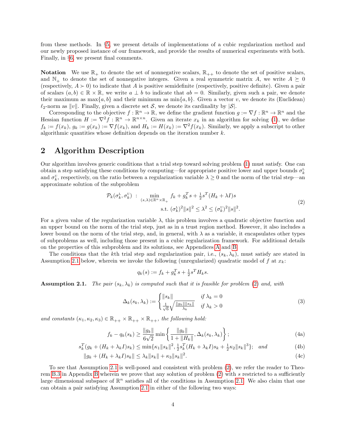from these methods. In §[5,](#page-15-0) we present details of implementations of a cubic regularization method and our newly proposed instance of our framework, and provide the results of numerical experiments with both. Finally, in §[6,](#page-17-0) we present final comments.

**Notation** We use  $\mathbb{R}_+$  to denote the set of nonnegative scalars,  $\mathbb{R}_{++}$  to denote the set of positive scalars, and  $\mathbb{N}_+$  to denote the set of nonnegative integers. Given a real symmetric matrix A, we write  $A \succeq 0$ (respectively,  $A \succ 0$ ) to indicate that A is positive semidefinite (respectively, positive definite). Given a pair of scalars  $(a, b) \in \mathbb{R} \times \mathbb{R}$ , we write  $a \perp b$  to indicate that  $ab = 0$ . Similarly, given such a pair, we denote their maximum as max $\{a, b\}$  and their minimum as min $\{a, b\}$ . Given a vector v, we denote its (Euclidean)  $\ell_2$ -norm as  $||v||$ . Finally, given a discrete set S, we denote its cardinality by  $|\mathcal{S}|$ .

Corresponding to the objective  $f : \mathbb{R}^n \to \mathbb{R}$ , we define the gradient function  $g := \nabla f : \mathbb{R}^n \to \mathbb{R}^n$  and the Hessian function  $H := \nabla^2 f : \mathbb{R}^n \to \mathbb{R}^{n \times n}$ . Given an iterate  $x_k$  in an algorithm for solving [\(1\)](#page-1-0), we define  $f_k := f(x_k)$ ,  $g_k := g(x_k) := \nabla f(x_k)$ , and  $H_k := H(x_k) := \nabla^2 f(x_k)$ . Similarly, we apply a subscript to other algorithmic quantities whose definition depends on the iteration number  $k$ .

## <span id="page-3-0"></span>2 Algorithm Description

Our algorithm involves generic conditions that a trial step toward solving problem [\(1\)](#page-1-0) must satisfy. One can obtain a step satisfying these conditions by computing—for appropriate positive lower and upper bounds  $\sigma_k^L$ and  $\sigma_k^{\text{U}}$ , respectively, on the ratio between a regularization variable  $\lambda \geq 0$  and the norm of the trial step—an approximate solution of the subproblem

<span id="page-3-2"></span>
$$
\mathcal{P}_k(\sigma_k^L, \sigma_k^U) \; : \; \min_{(s,\lambda)\in\mathbb{R}^n\times\mathbb{R}_+} f_k + g_k^T s + \frac{1}{2}s^T (H_k + \lambda I)s
$$
\n
$$
\text{s.t. } (\sigma_k^L)^2 \|s\|^2 \le \lambda^2 \le (\sigma_k^U)^2 \|s\|^2. \tag{2}
$$

For a given value of the regularization variable  $\lambda$ , this problem involves a quadratic objective function and an upper bound on the norm of the trial step, just as in a trust region method. However, it also includes a lower bound on the norm of the trial step, and, in general, with  $\lambda$  as a variable, it encapsulates other types of subproblems as well, including those present in a cubic regularization framework. For additional details on the properties of this subproblem and its solutions, see Appendices [A](#page-18-0) and [B.](#page-20-0)

The conditions that the kth trial step and regularization pair, i.e.,  $(s_k, \lambda_k)$ , must satisfy are stated in Assumption [2.1](#page-3-1) below, wherein we invoke the following (unregularized) quadratic model of f at  $x_k$ :

<span id="page-3-6"></span><span id="page-3-5"></span><span id="page-3-4"></span><span id="page-3-3"></span>
$$
q_k(s) := f_k + g_k^T s + \frac{1}{2} s^T H_k s.
$$

<span id="page-3-1"></span>**Assumption 2.1.** The pair  $(s_k, \lambda_k)$  is computed such that it is feasible for problem [\(2\)](#page-3-2) and, with

$$
\Delta_k(s_k, \lambda_k) := \begin{cases} ||s_k|| & \text{if } \lambda_k = 0 \\ \frac{1}{\sqrt{6}} \sqrt{\frac{||g_k|| ||s_k||}{\lambda_k}} & \text{if } \lambda_k > 0 \end{cases}
$$
 (3)

and constants  $(\kappa_1, \kappa_2, \kappa_3) \in \mathbb{R}_{++} \times \mathbb{R}_{++} \times \mathbb{R}_{++}$ , the following hold:

$$
f_k - q_k(s_k) \ge \frac{\|g_k\|}{6\sqrt{2}} \min \left\{ \frac{\|g_k\|}{1 + \|H_k\|}, \Delta_k(s_k, \lambda_k) \right\};
$$
\n(4a)

$$
s_k^T(g_k + (H_k + \lambda_k I)s_k) \le \min\{\kappa_1 \|s_k\|^2, \frac{1}{2}s_k^T(H_k + \lambda_k I)s_k + \frac{1}{2}\kappa_2 \|s_k\|^3\}; \text{ and } (4b)
$$

$$
||g_k + (H_k + \lambda_k I)s_k|| \le \lambda_k ||s_k|| + \kappa_3 ||s_k||^2.
$$
 (4c)

To see that Assumption [2.1](#page-3-1) is well-posed and consistent with problem [\(2\)](#page-3-2), we refer the reader to Theo-rem [B.3](#page-20-1) in Appendix [B](#page-20-0) wherein we prove that any solution of problem  $(2)$  with s restricted to a sufficiently large dimensional subspace of  $\mathbb{R}^n$  satisfies all of the conditions in Assumption [2.1.](#page-3-1) We also claim that one can obtain a pair satisfying Assumption [2.1](#page-3-1) in either of the following two ways: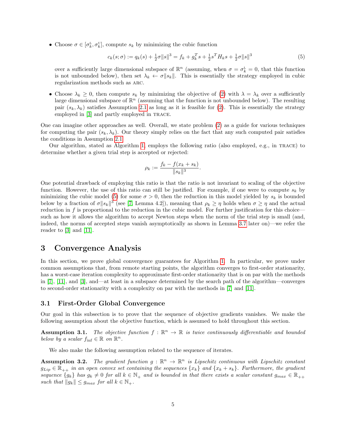• Choose  $\sigma \in [\sigma_k^L, \sigma_k^U]$ , compute  $s_k$  by minimizing the cubic function

<span id="page-4-2"></span>
$$
c_k(s; \sigma) := q_k(s) + \frac{1}{2}\sigma \|s\|^3 = f_k + g_k^T s + \frac{1}{2}s^T H_k s + \frac{1}{2}\sigma \|s\|^3
$$
\n<sup>(5)</sup>

over a sufficiently large dimensional subspace of  $\mathbb{R}^n$  (assuming, when  $\sigma = \sigma_k^L = 0$ , that this function is not unbounded below), then set  $\lambda_k \leftarrow \sigma ||s_k||$ . This is essentially the strategy employed in cubic regularization methods such as arc.

• Choose  $\lambda_k \geq 0$ , then compute  $s_k$  by minimizing the objective of [\(2\)](#page-3-2) with  $\lambda = \lambda_k$  over a sufficiently large dimensional subspace of  $\mathbb{R}^n$  (assuming that the function is not unbounded below). The resulting pair  $(s_k, \lambda_k)$  satisfies Assumption [2.1](#page-3-1) as long as it is feasible for [\(2\)](#page-3-2). This is essentially the strategy employed in [\[3\]](#page-27-10) and partly employed in trace.

One can imagine other approaches as well. Overall, we state problem [\(2\)](#page-3-2) as a guide for various techniques for computing the pair  $(s_k, \lambda_k)$ . Our theory simply relies on the fact that any such computed pair satisfies the conditions in Assumption [2.1.](#page-3-1)

Our algorithm, stated as Algorithm [1,](#page-5-0) employs the following ratio (also employed, e.g., in trace) to determine whether a given trial step is accepted or rejected:

$$
\rho_k := \frac{f_k - f(x_k + s_k)}{\|s_k\|^3}.
$$

One potential drawback of employing this ratio is that the ratio is not invariant to scaling of the objective function. However, the use of this ratio can still be justified. For example, if one were to compute  $s_k$  by minimizing the cubic model [\(5\)](#page-4-2) for some  $\sigma > 0$ , then the reduction in this model yielded by  $s_k$  is bounded below by a fraction of  $\sigma \|s_k\|^3$  (see [\[7,](#page-27-5) Lemma 4.2]), meaning that  $\rho_k \geq \eta$  holds when  $\sigma \geq \eta$  and the actual reduction in f is proportional to the reduction in the cubic model. For further justification for this choice such as how it allows the algorithm to accept Newton steps when the norm of the trial step is small (and, indeed, the norms of accepted steps vanish asymptotically as shown in Lemma [3.7](#page-7-0) later on)—we refer the reader to [\[3\]](#page-27-10) and [\[11\]](#page-27-9).

## <span id="page-4-0"></span>3 Convergence Analysis

In this section, we prove global convergence guarantees for Algorithm [1.](#page-5-0) In particular, we prove under common assumptions that, from remote starting points, the algorithm converges to first-order stationarity, has a worst-case iteration complexity to approximate first-order stationarity that is on par with the methods in [\[7\]](#page-27-5), [\[11\]](#page-27-9), and [\[3\]](#page-27-10), and—at least in a subspace determined by the search path of the algorithm—converges to second-order stationarity with a complexity on par with the methods in [\[7\]](#page-27-5) and [\[11\]](#page-27-9).

#### <span id="page-4-1"></span>3.1 First-Order Global Convergence

Our goal in this subsection is to prove that the sequence of objective gradients vanishes. We make the following assumption about the objective function, which is assumed to hold throughout this section.

<span id="page-4-3"></span>**Assumption 3.1.** The objective function  $f : \mathbb{R}^n \to \mathbb{R}$  is twice continuously differentiable and bounded below by a scalar  $f_{\text{inf}} \in \mathbb{R}$  on  $\mathbb{R}^n$ .

We also make the following assumption related to the sequence of iterates.

<span id="page-4-4"></span>**Assumption 3.2.** The gradient function  $g : \mathbb{R}^n \to \mathbb{R}^n$  is Lipschitz continuous with Lipschitz constant  $g_{Lip} \in \mathbb{R}_{++}$  in an open convex set containing the sequences  $\{x_k\}$  and  $\{x_k + s_k\}$ . Furthermore, the gradient sequence  $\{g_k\}$  has  $g_k \neq 0$  for all  $k \in \mathbb{N}_+$  and is bounded in that there exists a scalar constant  $g_{max} \in \mathbb{R}_{++}$ such that  $||g_k|| \le g_{max}$  for all  $k \in \mathbb{N}_+$ .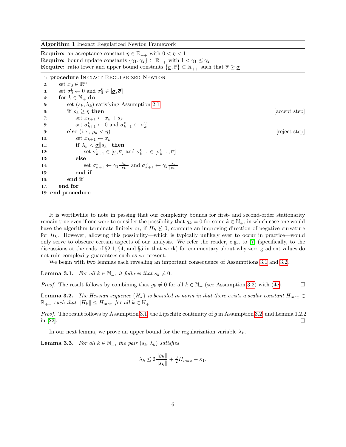Algorithm 1 Inexact Regularized Newton Framework

<span id="page-5-0"></span>**Require:** an acceptance constant  $\eta \in \mathbb{R}_{++}$  with  $0 < \eta < 1$ **Require:** bound update constants  $\{\gamma_1, \gamma_2\} \subset \mathbb{R}_{++}$  with  $1 < \gamma_1 \leq \gamma_2$ **Require:** ratio lower and upper bound constants  $\{\sigma, \overline{\sigma}\} \subset \mathbb{R}_{++}$  such that  $\overline{\sigma} \geq \underline{\sigma}$ 

1: procedure INEXACT REGULARIZED NEWTON

| 2:  | set $x_0 \in \mathbb{R}^n$                                                                                                                               |             |
|-----|----------------------------------------------------------------------------------------------------------------------------------------------------------|-------------|
| 3:  | set $\sigma_0^L \leftarrow 0$ and $\sigma_0^U \in [\underline{\sigma}, \overline{\sigma}]$                                                               |             |
| 4:  | for $k \in \mathbb{N}_+$ do                                                                                                                              |             |
| 5:  | set $(s_k, \lambda_k)$ satisfying Assumption 2.1                                                                                                         |             |
| 6:  | if $\rho_k \geq \eta$ then                                                                                                                               | accept step |
| 7:  | set $x_{k+1} \leftarrow x_k + s_k$                                                                                                                       |             |
| 8:  | set $\sigma_{k+1}^L \leftarrow 0$ and $\sigma_{k+1}^U \leftarrow \sigma_k^U$                                                                             |             |
| 9:  | else (i.e., $\rho_k < \eta$ )                                                                                                                            | reject step |
| 10: | set $x_{k+1} \leftarrow x_k$                                                                                                                             |             |
| 11: | if $\lambda_k < \underline{\sigma}   s_k  $ then                                                                                                         |             |
| 12: | set $\sigma_{k+1}^{\text{L}} \in [\underline{\sigma}, \overline{\sigma}]$ and $\sigma_{k+1}^{\text{U}} \in [\sigma_{k+1}^{\text{L}}, \overline{\sigma}]$ |             |
| 13: | else                                                                                                                                                     |             |
| 14: | set $\sigma_{k+1}^{\text{L}} \leftarrow \gamma_1 \frac{\lambda_k}{\ s_k\ }$ and $\sigma_{k+1}^{\text{U}} \leftarrow \gamma_2 \frac{\lambda_k}{\ s_k\ }$  |             |
| 15: | end if                                                                                                                                                   |             |
| 16: | end if                                                                                                                                                   |             |
| 17: | end for                                                                                                                                                  |             |
|     | 18: end procedure                                                                                                                                        |             |

It is worthwhile to note in passing that our complexity bounds for first- and second-order stationarity remain true even if one were to consider the possibility that  $g_k = 0$  for some  $k \in \mathbb{N}_+$ , in which case one would have the algorithm terminate finitely or, if  $H_k \not\geq 0$ , compute an improving direction of negative curvature for  $H_k$ . However, allowing this possibility—which is typically unlikely ever to occur in practice—would only serve to obscure certain aspects of our analysis. We refer the reader, e.g., to [\[7\]](#page-27-5) (specifically, to the discussions at the ends of §2.1, §4, and §5 in that work) for commentary about why zero gradient values do not ruin complexity guarantees such as we present.

We begin with two lemmas each revealing an important consequence of Assumptions [3.1](#page-4-3) and [3.2.](#page-4-4)

<span id="page-5-2"></span>**Lemma 3.1.** For all  $k \in \mathbb{N}_+$ , it follows that  $s_k \neq 0$ .

*Proof.* The result follows by combining that  $g_k \neq 0$  for all  $k \in \mathbb{N}_+$  (see Assumption [3.2\)](#page-4-4) with [\(4c\)](#page-3-3).  $\Box$ 

<span id="page-5-1"></span>**Lemma 3.2.** The Hessian sequence  ${H_k}$  is bounded in norm in that there exists a scalar constant  $H_{max} \in$  $\mathbb{R}_{++}$  such that  $||H_k|| \leq H_{max}$  for all  $k \in \mathbb{N}_+$ .

Proof. The result follows by Assumption [3.1,](#page-4-3) the Lipschitz continuity of g in Assumption [3.2,](#page-4-4) and Lemma 1.2.2 in [\[22\]](#page-28-5).  $\Box$ 

In our next lemma, we prove an upper bound for the regularization variable  $\lambda_k$ .

<span id="page-5-3"></span>**Lemma 3.3.** For all  $k \in \mathbb{N}_+$ , the pair  $(s_k, \lambda_k)$  satisfies

$$
\lambda_k \le 2 \frac{\|g_k\|}{\|s_k\|} + \frac{3}{2} H_{max} + \kappa_1.
$$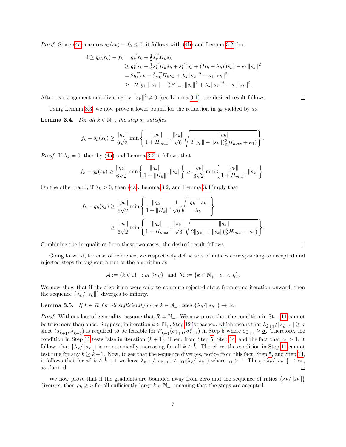*Proof.* Since [\(4a\)](#page-3-4) ensures  $q_k(s_k) - f_k \leq 0$ , it follows with [\(4b\)](#page-3-5) and Lemma [3.2](#page-5-1) that

$$
0 \ge q_k(s_k) - f_k = g_k^T s_k + \frac{1}{2} s_k^T H_k s_k
$$
  
\n
$$
\ge g_k^T s_k + \frac{1}{2} s_k^T H_k s_k + s_k^T (g_k + (H_k + \lambda_k I) s_k) - \kappa_1 \|s_k\|^2
$$
  
\n
$$
= 2g_k^T s_k + \frac{3}{2} s_k^T H_k s_k + \lambda_k \|s_k\|^2 - \kappa_1 \|s_k\|^2
$$
  
\n
$$
\ge -2 \|g_k\| \|s_k\| - \frac{3}{2} H_{max} \|s_k\|^2 + \lambda_k \|s_k\|^2 - \kappa_1 \|s_k\|^2.
$$

After rearrangement and dividing by  $||s_k||^2 \neq 0$  (see Lemma [3.1\)](#page-5-2), the desired result follows.

Using Lemma [3.3,](#page-5-3) we now prove a lower bound for the reduction in  $q_k$  yielded by  $s_k$ .

<span id="page-6-0"></span>**Lemma 3.4.** For all  $k \in \mathbb{N}_+$ , the step  $s_k$  satisfies

$$
f_k - q_k(s_k) \ge \frac{\|g_k\|}{6\sqrt{2}} \min\left\{\frac{\|g_k\|}{1 + H_{max}}, \frac{\|s_k\|}{\sqrt{6}}\sqrt{\frac{\|g_k\|}{2\|g_k\| + \|s_k\|(\frac{3}{2}H_{max} + \kappa_1)}}\right\}.
$$

*Proof.* If  $\lambda_k = 0$ , then by [\(4a\)](#page-3-4) and Lemma [3.2](#page-5-1) it follows that

$$
f_k - q_k(s_k) \ge \frac{\|g_k\|}{6\sqrt{2}} \min \left\{ \frac{\|g_k\|}{1 + \|H_k\|}, \|s_k\|\right\} \ge \frac{\|g_k\|}{6\sqrt{2}} \min \left\{ \frac{\|g_k\|}{1 + H_{max}}, \|s_k\|\right\}.
$$

On the other hand, if  $\lambda_k > 0$ , then [\(4a\)](#page-3-4), Lemma [3.2,](#page-5-1) and Lemma [3.3](#page-5-3) imply that

$$
f_k - q_k(s_k) \ge \frac{||g_k||}{6\sqrt{2}} \min\left\{ \frac{||g_k||}{1 + ||H_k||}, \frac{1}{\sqrt{6}} \sqrt{\frac{||g_k|| ||s_k||}{\lambda_k}} \right\}
$$
  

$$
\ge \frac{||g_k||}{6\sqrt{2}} \min\left\{ \frac{||g_k||}{1 + H_{max}}, \frac{||s_k||}{\sqrt{6}} \sqrt{\frac{||g_k||}{2||g_k|| + ||s_k||(\frac{3}{2}H_{max} + \kappa_1)}} \right\}.
$$

Combining the inequalities from these two cases, the desired result follows.

Going forward, for ease of reference, we respectively define sets of indices corresponding to accepted and rejected steps throughout a run of the algorithm as

$$
\mathcal{A} := \{ k \in \mathbb{N}_+ : \rho_k \ge \eta \} \text{ and } \mathcal{R} := \{ k \in \mathbb{N}_+ : \rho_k < \eta \}.
$$

We now show that if the algorithm were only to compute rejected steps from some iteration onward, then the sequence  $\{\lambda_k/\|s_k\|\}$  diverges to infinity.

<span id="page-6-1"></span>**Lemma 3.5.** If  $k \in \mathcal{R}$  for all sufficiently large  $k \in \mathbb{N}_+$ , then  $\{\lambda_k / ||s_k||\} \to \infty$ .

*Proof.* Without loss of generality, assume that  $\mathcal{R} = \mathbb{N}_+$ . We now prove that the condition in Step [11](#page-5-0) cannot be true more than once. Suppose, in iteration  $\hat{k} \in \mathbb{N}_+$ , Step [12](#page-5-0) is reached, which means that  $\lambda_{\hat{k}+1}/||s_{\hat{k}+1}|| \geq \underline{\sigma}$ since  $(s_{k+1}, \lambda_{k+1})$  is required to be feasible for  $\mathcal{P}_{k+1}(\sigma_{k+1}^L, \sigma_{k+1}^U)$  in Step [5](#page-5-0) where  $\sigma_{k+1}^L \geq \underline{\sigma}$ . Therefore, the condition in Step [11](#page-5-0) tests false in iteration  $(\hat{k} + 1)$ . Then, from Step [5,](#page-5-0) Step [14,](#page-5-0) and the fact that  $\gamma_1 > 1$ , it follows that  $\{\lambda_k/\|\mathbf{s}_k\|\}$  is monotonically increasing for all  $k \geq k$ . Therefore, the condition in Step [11](#page-5-0) cannot test true for any  $k \geq \hat{k}+1$ . Now, to see that the sequence diverges, notice from this fact, Step [5,](#page-5-0) and Step [14,](#page-5-0) it follows that for all  $k \geq \hat{k} + 1$  we have  $\lambda_{k+1}/\|s_{k+1}\| \geq \gamma_1(\lambda_k/\|s_k\|)$  where  $\gamma_1 > 1$ . Thus,  $\{\lambda_k/\|s_k\|\} \to \infty$ , as claimed.  $\Box$ 

<span id="page-6-2"></span>We now prove that if the gradients are bounded away from zero and the sequence of ratios  $\{\lambda_k/\|s_k\|\}$ diverges, then  $\rho_k \geq \eta$  for all sufficiently large  $k \in \mathbb{N}_+$ , meaning that the steps are accepted.

 $\Box$ 

 $\Box$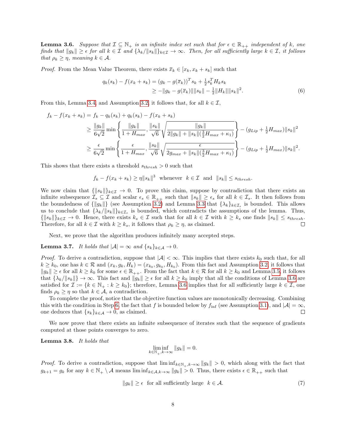**Lemma 3.6.** Suppose that  $\mathcal{I} \subseteq \mathbb{N}_+$  is an infinite index set such that for  $\epsilon \in \mathbb{R}_{++}$  independent of k, one finds that  $||g_k|| \geq \epsilon$  for all  $k \in \mathcal{I}$  and  $\{\lambda_k/||s_k||\}_{k\in\mathcal{I}} \to \infty$ . Then, for all sufficiently large  $k \in \mathcal{I}$ , it follows that  $\rho_k \geq \eta$ , meaning  $k \in \mathcal{A}$ .

*Proof.* From the Mean Value Theorem, there exists  $\bar{x}_k \in [x_k, x_k + s_k]$  such that

<span id="page-7-3"></span>
$$
q_k(s_k) - f(x_k + s_k) = (g_k - g(\overline{x}_k))^T s_k + \frac{1}{2} s_k^T H_k s_k
$$
  
\n
$$
\ge -||g_k - g(\overline{x}_k)|| ||s_k|| - \frac{1}{2} ||H_k|| ||s_k||^2.
$$
 (6)

From this, Lemma [3.4,](#page-6-0) and Assumption [3.2,](#page-4-4) it follows that, for all  $k \in \mathcal{I}$ ,

$$
f_k - f(x_k + s_k) = f_k - q_k(s_k) + q_k(s_k) - f(x_k + s_k)
$$
  
\n
$$
\geq \frac{||g_k||}{6\sqrt{2}} \min \left\{ \frac{||g_k||}{1 + H_{max}}, \frac{||s_k||}{\sqrt{6}} \sqrt{\frac{||g_k||}{2||g_k|| + ||s_k||(\frac{3}{2}H_{max} + \kappa_1)}} \right\} - (g_{Lip} + \frac{1}{2}H_{max})||s_k||^2
$$
  
\n
$$
\geq \frac{\epsilon}{6\sqrt{2}} \min \left\{ \frac{\epsilon}{1 + H_{max}}, \frac{||s_k||}{\sqrt{6}} \sqrt{\frac{\epsilon}{2g_{max} + ||s_k||(\frac{3}{2}H_{max} + \kappa_1)}} \right\} - (g_{Lip} + \frac{1}{2}H_{max})||s_k||^2.
$$

This shows that there exists a threshold  $s_{thresh} > 0$  such that

 $f_k - f(x_k + s_k) \geq \eta \|s_k\|^3$  whenever  $k \in \mathcal{I}$  and  $||s_k|| \leq s_{thresh}$ .

We now claim that  $\{\Vert s_k \Vert\}_{k \in \mathcal{I}} \to 0$ . To prove this claim, suppose by contradiction that there exists an infinite subsequence  $\mathcal{I}_s \subseteq \mathcal{I}$  and scalar  $\epsilon_s \in \mathbb{R}_{++}$  such that  $||s_k|| \geq \epsilon_s$  for all  $k \in \mathcal{I}_s$ . It then follows from the boundedness of  $\{\|g_k\|\}$  (see Assumption [3.2\)](#page-4-4) and Lemma [3.3](#page-5-3) that  $\{\lambda_k\}_{k\in\mathcal{I}_s}$  is bounded. This allows us to conclude that  $\{\lambda_k/\|s_k\|\}_{k\in\mathcal{I}_s}$  is bounded, which contradicts the assumptions of the lemma. Thus,  $\{||s_k||\}_{k\in\mathcal{I}} \to 0.$  Hence, there exists  $k_s \in \mathcal{I}$  such that for all  $k \in \mathcal{I}$  with  $k \geq k_s$  one finds  $||s_k|| \leq s_{thresh}$ . Therefore, for all  $k \in \mathcal{I}$  with  $k \geq k_s$ , it follows that  $\rho_k \geq \eta$ , as claimed.  $\Box$ 

Next, we prove that the algorithm produces infinitely many accepted steps.

<span id="page-7-0"></span>**Lemma 3.7.** It holds that  $|\mathcal{A}| = \infty$  and  $\{s_k\}_{k \in \mathcal{A}} \to 0$ .

*Proof.* To derive a contradiction, suppose that  $|\mathcal{A}| < \infty$ . This implies that there exists  $k_0$  such that, for all  $k \geq k_0$ , one has  $k \in \mathcal{R}$  and  $(x_k, g_k, H_k) = (x_{k_0}, g_{k_0}, H_{k_0})$ . From this fact and Assumption [3.2,](#page-4-4) it follows that  $||g_k|| \geq \epsilon$  for all  $k \geq k_0$  for some  $\epsilon \in \mathbb{R}_{++}$ . From the fact that  $k \in \mathcal{R}$  for all  $k \geq k_0$  and Lemma [3.5,](#page-6-1) it follows that  $\{\lambda_k/\|s_k\|\}\to\infty$ . This fact and  $\|g_k\|\geq\epsilon$  for all  $k\geq k_0$  imply that all the conditions of Lemma [3.6](#page-6-2) are satisfied for  $\mathcal{I} := \{k \in \mathbb{N}_+ : k \geq k_0\}$ ; therefore, Lemma [3.6](#page-6-2) implies that for all sufficiently large  $k \in \mathcal{I}$ , one finds  $\rho_k \geq \eta$  so that  $k \in \mathcal{A}$ , a contradiction.

To complete the proof, notice that the objective function values are monotonically decreasing. Combining this with the condition in Step [6,](#page-5-0) the fact that f is bounded below by  $f_{\text{inf}}$  (see Assumption [3.1\)](#page-4-3), and  $|\mathcal{A}| = \infty$ ,  $\Box$ one deduces that  $\{s_k\}_{k\in\mathcal{A}} \to 0$ , as claimed.

We now prove that there exists an infinite subsequence of iterates such that the sequence of gradients computed at those points converges to zero.

<span id="page-7-2"></span>Lemma 3.8. It holds that

$$
\liminf_{k \in \mathbb{N}_+, k \to \infty} \|g_k\| = 0.
$$

*Proof.* To derive a contradiction, suppose that  $\liminf_{k \in \mathbb{N}_+} k \to \infty$   $||g_k|| > 0$ , which along with the fact that  $g_{k+1} = g_k$  for any  $k \in \mathbb{N}_+ \setminus \mathcal{A}$  means  $\liminf_{k \in \mathcal{A}, k \to \infty} ||g_k|| > 0$ . Thus, there exists  $\epsilon \in \mathbb{R}_{++}$  such that

<span id="page-7-1"></span>
$$
||g_k|| \ge \epsilon \quad \text{for all sufficiently large} \quad k \in \mathcal{A}.\tag{7}
$$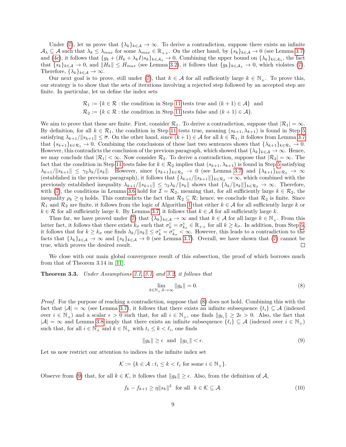Under [\(7\)](#page-7-1), let us prove that  $\{\lambda_k\}_{k\in\mathcal{A}} \to \infty$ . To derive a contradiction, suppose there exists an infinite  $\mathcal{A}_{\lambda} \subseteq \mathcal{A}$  such that  $\lambda_k \leq \lambda_{max}$  for some  $\lambda_{max} \in \mathbb{R}_{++}$ . On the other hand, by  $\{s_k\}_{k\in\mathcal{A}} \to 0$  (see Lemma [3.7\)](#page-7-0) and [\(4c\)](#page-3-3), it follows that  $\{g_k + (H_k + \lambda_k I)s_k\}_{k \in A_\lambda} \to 0$ . Combining the upper bound on  $\{\lambda_k\}_{k \in A_\lambda}$ , the fact that  $\{s_k\}_{k\in\mathcal{A}} \to 0$ , and  $||H_k|| \le H_{max}$  (see Lemma [3.2\)](#page-5-1), it follows that  $\{g_k\}_{k\in\mathcal{A}_{\lambda}} \to 0$ , which violates [\(7\)](#page-7-1). Therefore,  $\{\lambda_k\}_{k\in\mathcal{A}}\to\infty$ .

Our next goal is to prove, still under [\(7\)](#page-7-1), that  $k \in A$  for all sufficiently large  $k \in \mathbb{N}_+$ . To prove this, our strategy is to show that the sets of iterations involving a rejected step followed by an accepted step are finite. In particular, let us define the index sets

$$
\mathcal{R}_1 := \{ k \in \mathcal{R} : \text{the condition in Step 11 tests true and } (k+1) \in \mathcal{A} \} \text{ and } \mathcal{R}_2 := \{ k \in \mathcal{R} : \text{the condition in Step 11 tests false and } (k+1) \in \mathcal{A} \}.
$$

We aim to prove that these are finite. First, consider  $\mathcal{R}_1$ . To derive a contradiction, suppose that  $|\mathcal{R}_1| = \infty$ . By definition, for all  $k \in \mathcal{R}_1$ , the condition in Step [11](#page-5-0) tests true, meaning  $(s_{k+1}, \lambda_{k+1})$  is found in Step [5](#page-5-0) satisfying  $\lambda_{k+1}/\|s_{k+1}\| \leq \overline{\sigma}$ . On the other hand, since  $(k+1) \in \mathcal{A}$  for all  $k \in \mathcal{R}_1$ , it follows from Lemma [3.7](#page-7-0) that  $\{s_{k+1}\}_{k\in\mathcal{R}_1} \to 0$ . Combining the conclusions of these last two sentences shows that  $\{\lambda_{k+1}\}_{k\in\mathcal{R}_1} \to 0$ . However, this contradicts the conclusion of the previous paragraph, which showed that  $\{\lambda_k\}_{k\in\mathcal{A}}\to\infty$ . Hence, we may conclude that  $|\mathcal{R}_1| < \infty$ . Now consider  $\mathcal{R}_2$ . To derive a contradiction, suppose that  $|\mathcal{R}_2| = \infty$ . The fact that the condition in Step [11](#page-5-0) tests false for  $k \in \mathcal{R}_2$  implies that  $(s_{k+1}, \lambda_{k+1})$  is found in Step [5](#page-5-0) satisfying  $\lambda_{k+1}/\|s_{k+1}\| \leq \gamma_2\lambda_k/\|s_k\|$ . However, since  $\{s_{k+1}\}_{k\in\mathcal{R}_2} \to 0$  (see Lemma [3.7\)](#page-7-0) and  $\{\lambda_{k+1}\}_{k\in\mathcal{R}_2} \to \infty$ (established in the previous paragraph), it follows that  $\{\lambda_{k+1}/\|s_{k+1}\|\}_{k\in\mathcal{R}_2} \to \infty$ , which combined with the previously established inequality  $\lambda_{k+1}/\|s_{k+1}\| \leq \gamma_2\lambda_k/\|s_k\|$  shows that  $\{\lambda_k/\|s_k\|\}_{k\in\mathcal{R}_2} \to \infty$ . Therefore, with [\(7\)](#page-7-1), the conditions in Lemma [3.6](#page-6-2) hold for  $\mathcal{I} = \mathcal{R}_2$ , meaning that, for all sufficiently large  $k \in \mathcal{R}_2$ , the inequality  $\rho_k \geq \eta$  holds. This contradicts the fact that  $\mathcal{R}_2 \subseteq \mathcal{R}$ ; hence, we conclude that  $\mathcal{R}_2$  is finite. Since  $\mathcal{R}_1$  and  $\mathcal{R}_2$  are finite, it follows from the logic of Algorithm [1](#page-5-0) that either  $k \in \mathcal{A}$  for all sufficiently large k or  $k \in \mathcal{R}$  for all sufficiently large k. By Lemma [3.7,](#page-7-0) it follows that  $k \in \mathcal{A}$  for all sufficiently large k.

Thus far, we have proved under [\(7\)](#page-7-1) that  $\{\lambda_k\}_{k\in\mathcal{A}} \to \infty$  and that  $k \in \mathcal{A}$  for all large  $k \in \mathbb{N}_+$ . From this latter fact, it follows that there exists  $k_{\sigma}$  such that  $\sigma_k^{\mathbb{U}} = \sigma_{k_{\sigma}}^{\mathbb{U}} \in \mathbb{R}_{++}$  for all  $k \geq k_{\sigma}$ . In addition, from Step [5,](#page-5-0) it follows that for  $k \geq k_{\sigma}$  one finds  $\lambda_k / ||s_k|| \leq \sigma_k^{\mathbb{U}} = \sigma_{k_{\sigma}}^{\mathbb{U}} < \infty$ . However, this leads to a contradiction to the facts that  $\{\lambda_k\}_{k\in\mathcal{A}} \to \infty$  and  $\{s_k\}_{k\in\mathcal{A}} \to 0$  (see Lemma [3.7\)](#page-7-0). Overall, we have shown that [\(7\)](#page-7-1) cannot be true, which proves the desired result.  $\Box$ 

We close with our main global convergence result of this subsection, the proof of which borrows much from that of Theorem 3.14 in [\[11\]](#page-27-9).

<span id="page-8-3"></span>Theorem 3.3. Under Assumptions [2.1,](#page-3-1) [3.1,](#page-4-3) and [3.2,](#page-4-4) it follows that

<span id="page-8-0"></span>
$$
\lim_{k \in \mathbb{N}_+, k \to \infty} \|g_k\| = 0. \tag{8}
$$

Proof. For the purpose of reaching a contradiction, suppose that  $(8)$  does not hold. Combining this with the fact that  $|\mathcal{A}| = \infty$  (see Lemma [3.7\)](#page-7-0), it follows that there exists an infinite subsequence  $\{t_i\} \subseteq \mathcal{A}$  (indexed over  $i \in \mathbb{N}_+$  and a scalar  $\epsilon > 0$  such that, for all  $i \in \mathbb{N}_+$ , one finds  $||g_{t_i}|| \ge 2\epsilon > 0$ . Also, the fact that  $|\mathcal{A}| = \infty$  and Lemma [3.8](#page-7-2) imply that there exists an infinite subsequence  $\{\ell_i\} \subseteq \mathcal{A}$  (indexed over  $i \in \mathbb{N}_+$ ) such that, for all  $i \in \mathbb{N}_+$  and  $k \in \mathbb{N}_+$  with  $t_i \leq k < \ell_i$ , one finds

<span id="page-8-1"></span>
$$
||g_k|| \ge \epsilon \quad \text{and} \quad ||g_{\ell_i}|| < \epsilon. \tag{9}
$$

Let us now restrict our attention to indices in the infinite index set

$$
\mathcal{K} := \{ k \in \mathcal{A} : t_i \le k < \ell_i \text{ for some } i \in \mathbb{N}_+ \}.
$$

Observe from [\(9\)](#page-8-1) that, for all  $k \in \mathcal{K}$ , it follows that  $||g_k|| \geq \epsilon$ . Also, from the definition of A,

<span id="page-8-2"></span>
$$
f_k - f_{k+1} \ge \eta \|s_k\|^3 \quad \text{for all} \quad k \in \mathcal{K} \subseteq \mathcal{A}.\tag{10}
$$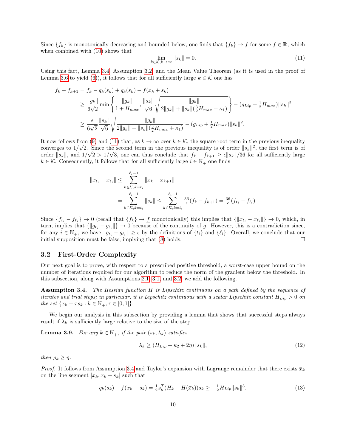Since  $\{f_k\}$  is monotonically decreasing and bounded below, one finds that  $\{f_k\} \to f$  for some  $f \in \mathbb{R}$ , which when combined with [\(10\)](#page-8-2) shows that

<span id="page-9-1"></span>
$$
\lim_{k \in \mathcal{K}, k \to \infty} \|s_k\| = 0. \tag{11}
$$

Using this fact, Lemma [3.4,](#page-6-0) Assumption [3.2,](#page-4-4) and the Mean Value Theorem (as it is used in the proof of Lemma [3.6](#page-6-2) to yield [\(6\)](#page-7-3)), it follows that for all sufficiently large  $k \in \mathcal{K}$  one has

$$
f_k - f_{k+1} = f_k - q_k(s_k) + q_k(s_k) - f(x_k + s_k)
$$
  
\n
$$
\geq \frac{||g_k||}{6\sqrt{2}} \min \left\{ \frac{||g_k||}{1 + H_{max}}, \frac{||s_k||}{\sqrt{6}} \sqrt{\frac{||g_k||}{2||g_k|| + ||s_k||(\frac{3}{2}H_{max} + \kappa_1)}} \right\} - (g_{Lip} + \frac{1}{2}H_{max})||s_k||^2
$$
  
\n
$$
\geq \frac{\epsilon}{6\sqrt{2}} \frac{||s_k||}{\sqrt{6}} \sqrt{\frac{||g_k||}{2||g_k|| + ||s_k||(\frac{3}{2}H_{max} + \kappa_1)}} - (g_{Lip} + \frac{1}{2}H_{max})||s_k||^2.
$$

It now follows from [\(9\)](#page-8-1) and [\(11\)](#page-9-1) that, as  $k \to \infty$  over  $k \in \mathcal{K}$ , the square root term in the previous inequality converges to  $1/\sqrt{2}$ . Since the second term in the previous inequality is of order  $||s_k||^2$ , the first term is of order  $||s_k||$ , and  $1/\sqrt{2} > 1/\sqrt{3}$ , one can thus conclude that  $f_k - f_{k+1} \ge \epsilon ||s_k||/36$  for all sufficiently large  $k \in \mathcal{K}$ . Consequently, it follows that for all sufficiently large  $i \in \mathbb{N}_+$  one finds

$$
||x_{t_i} - x_{\ell_i}|| \leq \sum_{k \in \mathcal{K}, k = t_i}^{\ell_i - 1} ||x_k - x_{k+1}||
$$
  
= 
$$
\sum_{k \in \mathcal{K}, k = t_i}^{\ell_i - 1} ||s_k|| \leq \sum_{k \in \mathcal{K}, k = t_i}^{\ell_i - 1} \frac{36}{\epsilon} (f_k - f_{k+1}) = \frac{36}{\epsilon} (f_{t_i} - f_{\ell_i}).
$$

Since  ${f_t}_i - f_{\ell_i} \to 0$  (recall that  ${f_k} \to f$  monotonically) this implies that  ${||x_{t_i} - x_{\ell_i}||} \to 0$ , which, in turn, implies that  $\{|g_{t_i} - g_{\ell_i}|\} \to 0$  because of the continuity of g. However, this is a contradiction since, for any  $i \in \mathbb{N}_+$ , we have  $||g_{t_i} - g_{\ell_i}|| \ge \epsilon$  by the definitions of  $\{t_i\}$  and  $\{\ell_i\}$ . Overall, we conclude that our initial supposition must be false, implying that [\(8\)](#page-8-0) holds.  $\Box$ 

#### <span id="page-9-0"></span>3.2 First-Order Complexity

Our next goal is to prove, with respect to a prescribed positive threshold, a worst-case upper bound on the number of iterations required for our algorithm to reduce the norm of the gradient below the threshold. In this subsection, along with Assumptions [2.1,](#page-3-1) [3.1,](#page-4-3) and [3.2,](#page-4-4) we add the following.

<span id="page-9-2"></span>Assumption 3.4. The Hessian function H is Lipschitz continuous on a path defined by the sequence of iterates and trial steps; in particular, it is Lipschitz continuous with a scalar Lipschitz constant  $H_{Lip} > 0$  on the set  $\{x_k + \tau s_k : k \in \mathbb{N}_+, \tau \in [0,1]\}.$ 

We begin our analysis in this subsection by providing a lemma that shows that successful steps always result if  $\lambda_k$  is sufficiently large relative to the size of the step.

<span id="page-9-5"></span>**Lemma 3.9.** For any  $k \in \mathbb{N}_+$ , if the pair  $(s_k, \lambda_k)$  satisfies

<span id="page-9-4"></span>
$$
\lambda_k \ge (H_{Lip} + \kappa_2 + 2\eta) \|s_k\|,\tag{12}
$$

then  $\rho_k \geq \eta$ .

*Proof.* It follows from Assumption [3.4](#page-9-2) and Taylor's expansion with Lagrange remainder that there exists  $\bar{x}_k$ on the line segment  $[x_k, x_k + s_k]$  such that

<span id="page-9-3"></span>
$$
q_k(s_k) - f(x_k + s_k) = \frac{1}{2} s_k^T (H_k - H(\overline{x}_k)) s_k \ge -\frac{1}{2} H_{Lip} ||s_k||^3.
$$
 (13)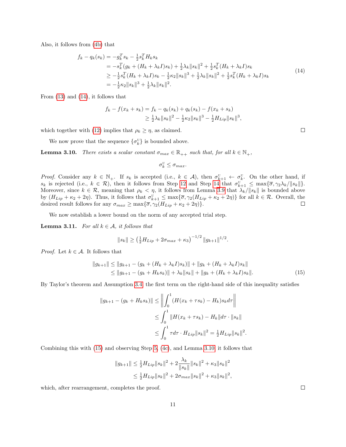Also, it follows from [\(4b\)](#page-3-5) that

<span id="page-10-0"></span>
$$
f_k - q_k(s_k) = -g_k^T s_k - \frac{1}{2} s_k^T H_k s_k
$$
  
\n
$$
= -s_k^T (g_k + (H_k + \lambda_k I)s_k) + \frac{1}{2} \lambda_k ||s_k||^2 + \frac{1}{2} s_k^T (H_k + \lambda_k I)s_k
$$
  
\n
$$
\geq -\frac{1}{2} s_k^T (H_k + \lambda_k I)s_k - \frac{1}{2} \kappa_2 ||s_k||^3 + \frac{1}{2} \lambda_k ||s_k||^2 + \frac{1}{2} s_k^T (H_k + \lambda_k I)s_k
$$
  
\n
$$
= -\frac{1}{2} \kappa_2 ||s_k||^3 + \frac{1}{2} \lambda_k ||s_k||^2.
$$
\n(14)

From [\(13\)](#page-9-3) and [\(14\)](#page-10-0), it follows that

$$
f_k - f(x_k + s_k) = f_k - q_k(s_k) + q_k(s_k) - f(x_k + s_k)
$$
  
\n
$$
\geq \frac{1}{2}\lambda_k ||s_k||^2 - \frac{1}{2}\kappa_2 ||s_k||^3 - \frac{1}{2}H_{Lip}||s_k||^3,
$$

which together with [\(12\)](#page-9-4) implies that  $\rho_k \geq \eta$ , as claimed.

We now prove that the sequence  $\{\sigma_k^{\mathbb{U}}\}$  is bounded above.

<span id="page-10-2"></span>**Lemma 3.10.** There exists a scalar constant  $\sigma_{max} \in \mathbb{R}_{++}$  such that, for all  $k \in \mathbb{N}_+$ ,

$$
\sigma_k^{\rm U}\leq \sigma_{max}.
$$

*Proof.* Consider any  $k \in \mathbb{N}_+$ . If  $s_k$  is accepted (i.e.,  $k \in \mathcal{A}$ ), then  $\sigma_{k+1}^{\mathbb{U}} \leftarrow \sigma_k^{\mathbb{U}}$ . On the other hand, if  $s_k$  is rejected (i.e.,  $k \in \mathcal{R}$ ), then it follows from Step [12](#page-5-0) and Step [14](#page-5-0) that  $\sigma_{k+1}^{\sigma} \leq \max{\lbrace \overline{\sigma}, \gamma_2 \lambda_k / ||s_k|| \rbrace}$ . Moreover, since  $k \in \mathcal{R}$ , meaning that  $\rho_k < \eta$ , it follows from Lemma [3.9](#page-9-5) that  $\lambda_k / ||s_k||$  is bounded above by  $(H_{Lip} + \kappa_2 + 2\eta)$ . Thus, it follows that  $\sigma_{k+1}^{\mathbb{U}} \leq \max{\lbrace \overline{\sigma}, \gamma_2(H_{Lip} + \kappa_2 + 2\eta) \rbrace}$  for all  $k \in \mathcal{R}$ . Overall, the desired result follows for any  $\sigma_{max} \ge \max{\{\overline{\sigma}, \gamma_2(H_{Lip} + \kappa_2 + 2\eta)\}}$ .

We now establish a lower bound on the norm of any accepted trial step.

<span id="page-10-3"></span>**Lemma 3.11.** For all  $k \in \mathcal{A}$ , it follows that

$$
||s_k|| \ge \left(\frac{1}{2}H_{Lip} + 2\sigma_{max} + \kappa_3\right)^{-1/2} ||g_{k+1}||^{1/2}.
$$

*Proof.* Let  $k \in \mathcal{A}$ . It follows that

$$
||g_{k+1}|| \le ||g_{k+1} - (g_k + (H_k + \lambda_k I)s_k)|| + ||g_k + (H_k + \lambda_k I)s_k||
$$
  
\n
$$
\le ||g_{k+1} - (g_k + H_k s_k)|| + \lambda_k ||s_k|| + ||g_k + (H_k + \lambda_k I)s_k||.
$$
\n(15)

By Taylor's theorem and Assumption [3.4,](#page-9-2) the first term on the right-hand side of this inequality satisfies

$$
||g_{k+1} - (g_k + H_k s_k)|| \le \left\| \int_0^1 (H(x_k + \tau s_k) - H_k) s_k d\tau \right\|
$$
  
\n
$$
\le \int_0^1 ||H(x_k + \tau s_k) - H_k|| d\tau \cdot ||s_k||
$$
  
\n
$$
\le \int_0^1 \tau d\tau \cdot H_{Lip} ||s_k||^2 = \frac{1}{2} H_{Lip} ||s_k||^2.
$$

Combining this with [\(15\)](#page-10-1) and observing Step [5,](#page-5-0) [\(4c\)](#page-3-3), and Lemma [3.10,](#page-10-2) it follows that

$$
||g_{k+1}|| \le \frac{1}{2} H_{Lip} ||s_k||^2 + 2 \frac{\lambda_k}{||s_k||} ||s_k||^2 + \kappa_3 ||s_k||^2
$$
  

$$
\le \frac{1}{2} H_{Lip} ||s_k||^2 + 2 \sigma_{max} ||s_k||^2 + \kappa_3 ||s_k||^2,
$$

which, after rearrangement, completes the proof.

<span id="page-10-1"></span> $\Box$ 

| I |  |
|---|--|
|   |  |
|   |  |
|   |  |
|   |  |
|   |  |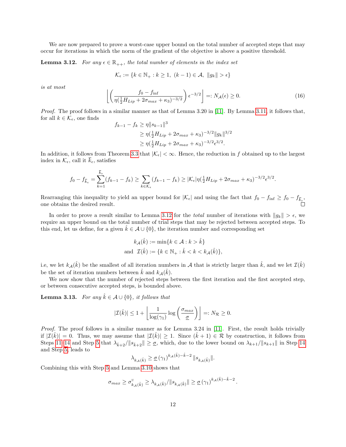We are now prepared to prove a worst-case upper bound on the total number of accepted steps that may occur for iterations in which the norm of the gradient of the objective is above a positive threshold.

<span id="page-11-0"></span>**Lemma 3.12.** For any  $\epsilon \in \mathbb{R}_{++}$ , the total number of elements in the index set

$$
\mathcal{K}_{\epsilon} := \{ k \in \mathbb{N}_{+} : k \ge 1, \ (k-1) \in \mathcal{A}, \ \|g_k\| > \epsilon \}
$$

is at most

$$
\left[ \left( \frac{f_0 - f_{\text{inf}}}{\eta(\frac{1}{2}H_{Lip} + 2\sigma_{max} + \kappa_3)^{-3/2}} \right) \epsilon^{-3/2} \right] =: N_{\mathcal{A}}(\epsilon) \ge 0. \tag{16}
$$

Proof. The proof follows in a similar manner as that of Lemma 3.20 in [\[11\]](#page-27-9). By Lemma [3.11,](#page-10-3) it follows that, for all  $k \in \mathcal{K}_{\epsilon}$ , one finds

$$
f_{k-1} - f_k \ge \eta \|s_{k-1}\|^3
$$
  
\n
$$
\ge \eta(\frac{1}{2}H_{Lip} + 2\sigma_{max} + \kappa_3)^{-3/2} \|g_k\|^{3/2}
$$
  
\n
$$
\ge \eta(\frac{1}{2}H_{Lip} + 2\sigma_{max} + \kappa_3)^{-3/2} \epsilon^{3/2}.
$$

In addition, it follows from Theorem [3.3](#page-8-3) that  $|\mathcal{K}_{\epsilon}| < \infty$ . Hence, the reduction in f obtained up to the largest index in  $\mathcal{K}_{\epsilon}$ , call it  $k_{\epsilon}$ , satisfies

$$
f_0 - f_{\overline{k}_{\epsilon}} = \sum_{k=1}^{\overline{k}_{\epsilon}} (f_{k-1} - f_k) \ge \sum_{k \in \mathcal{K}_{\epsilon}} (f_{k-1} - f_k) \ge |\mathcal{K}_{\epsilon}| \eta(\tfrac{1}{2} H_{Lip} + 2\sigma_{max} + \kappa_3)^{-3/2} \epsilon^{3/2}.
$$

Rearranging this inequality to yield an upper bound for  $|\mathcal{K}_{\epsilon}|$  and using the fact that  $f_0 - f_{\text{inf}} \geq f_0 - f_{\overline{k}_{\epsilon}}$ , one obtains the desired result.

In order to prove a result similar to Lemma [3.12](#page-11-0) for the *total* number of iterations with  $||g_k|| > \epsilon$ , we require an upper bound on the total number of trial steps that may be rejected between accepted steps. To this end, let us define, for a given  $k \in \mathcal{A} \cup \{0\}$ , the iteration number and corresponding set

$$
k_{\mathcal{A}}(\hat{k}) := \min\{k \in \mathcal{A} : k > \hat{k}\}
$$
  
and 
$$
\mathcal{I}(\hat{k}) := \{k \in \mathbb{N}_+ : \hat{k} < k < k_{\mathcal{A}}(\hat{k})\},\
$$

i.e, we let  $k_A(\hat{k})$  be the smallest of all iteration numbers in A that is strictly larger than  $\hat{k}$ , and we let  $\mathcal{I}(\hat{k})$ be the set of iteration numbers between  $\hat{k}$  and  $k_{\mathcal{A}}(\hat{k})$ .

We now show that the number of rejected steps between the first iteration and the first accepted step, or between consecutive accepted steps, is bounded above.

<span id="page-11-1"></span>**Lemma 3.13.** For any  $\hat{k} \in \mathcal{A} \cup \{0\}$ , it follows that

$$
|\mathcal{I}(\hat{k})| \le 1 + \left\lfloor \frac{1}{\log(\gamma_1)} \log \left( \frac{\sigma_{max}}{\underline{\sigma}} \right) \right\rfloor =: N_{\mathcal{R}} \ge 0.
$$

Proof. The proof follows in a similar manner as for Lemma 3.24 in [\[11\]](#page-27-9). First, the result holds trivially if  $|\mathcal{I}(\hat{k})| = 0$ . Thus, we may assume that  $|\mathcal{I}(\hat{k})| \geq 1$ . Since  $(\hat{k} + 1) \in \mathcal{R}$  by construction, it follows from Steps [11–14](#page-5-0) and Step [5](#page-5-0) that  $\lambda_{k+2}/||s_{k+2}|| \geq \underline{\sigma}$ , which, due to the lower bound on  $\lambda_{k+1}/||s_{k+1}||$  in Step [14](#page-5-0) and Step [5,](#page-5-0) leads to

$$
\lambda_{k_{\mathcal{A}}(\hat{k})}\geq\underline{\sigma}\left(\gamma_{1}\right)^{k_{\mathcal{A}}(\hat{k})-\hat{k}-2}\Vert s_{k_{\mathcal{A}}(\hat{k})}\Vert.
$$

Combining this with Step [5](#page-5-0) and Lemma [3.10](#page-10-2) shows that

$$
\sigma_{max} \geq \sigma_{k_{\mathcal{A}}(\hat{k})}^{\mathrm{U}} \geq \lambda_{k_{\mathcal{A}}(\hat{k})}/\|s_{k_{\mathcal{A}}(\hat{k})}\| \geq \underline{\sigma}(\gamma_1)^{k_{\mathcal{A}}(\hat{k}) - \hat{k} - 2}.
$$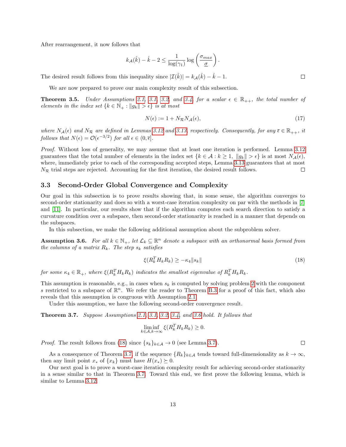After rearrangement, it now follows that

$$
k_{\mathcal{A}}(\hat{k}) - \hat{k} - 2 \le \frac{1}{\log(\gamma_1)} \log\left(\frac{\sigma_{max}}{\underline{\sigma}}\right).
$$

The desired result follows from this inequality since  $|\mathcal{I}(\hat{k})| = k_{\mathcal{A}}(\hat{k}) - \hat{k} - 1$ .

We are now prepared to prove our main complexity result of this subsection.

<span id="page-12-5"></span>**Theorem 3.5.** Under Assumptions [2.1,](#page-3-1) [3.1,](#page-4-3) [3.2,](#page-4-4) and [3.4,](#page-9-2) for a scalar  $\epsilon \in \mathbb{R}_{++}$ , the total number of elements in the index set  $\{k \in \mathbb{N}_+ : ||g_k|| > \epsilon\}$  is at most

$$
N(\epsilon) := 1 + N_{\mathcal{R}} N_{\mathcal{A}}(\epsilon),\tag{17}
$$

where  $N_A(\epsilon)$  and  $N_R$  are defined in Lemmas [3.12](#page-11-0) and [3.13,](#page-11-1) respectively. Consequently, for any  $\bar{\epsilon} \in \mathbb{R}_{++}$ , it follows that  $N(\epsilon) = \mathcal{O}(\epsilon^{-3/2})$  for all  $\epsilon \in (0, \overline{\epsilon}]$ .

Proof. Without loss of generality, we may assume that at least one iteration is performed. Lemma [3.12](#page-11-0) guarantees that the total number of elements in the index set  $\{k \in \mathcal{A} : k \geq 1, ||g_k|| > \epsilon\}$  is at most  $N_{\mathcal{A}}(\epsilon)$ , where, immediately prior to each of the corresponding accepted steps, Lemma [3.13](#page-11-1) guarantees that at most  $N_{\mathcal{R}}$  trial steps are rejected. Accounting for the first iteration, the desired result follows.  $\Box$ 

#### <span id="page-12-0"></span>3.3 Second-Order Global Convergence and Complexity

Our goal in this subsection is to prove results showing that, in some sense, the algorithm converges to second-order stationarity and does so with a worst-case iteration complexity on par with the methods in [\[7\]](#page-27-5) and [\[11\]](#page-27-9). In particular, our results show that if the algorithm computes each search direction to satisfy a curvature condition over a subspace, then second-order stationarity is reached in a manner that depends on the subspaces.

In this subsection, we make the following additional assumption about the subproblem solver.

<span id="page-12-1"></span>**Assumption 3.6.** For all  $k \in \mathbb{N}_+$ , let  $\mathcal{L}_k \subseteq \mathbb{R}^n$  denote a subspace with an orthonormal basis formed from the columns of a matrix  $R_k$ . The step  $s_k$  satisfies

<span id="page-12-2"></span>
$$
\xi(R_k^T H_k R_k) \ge -\kappa_4 \|s_k\| \tag{18}
$$

for some  $\kappa_4 \in \mathbb{R}_+$ , where  $\xi(R_k^TH_kR_k)$  indicates the smallest eigenvalue of  $R_k^TH_kR_k$ .

This assumption is reasonable, e.g., in cases when  $s_k$  is computed by solving problem [2](#page-3-2) with the component s restricted to a subspace of  $\mathbb{R}^n$ . We refer the reader to Theorem [B.3](#page-20-1) for a proof of this fact, which also reveals that this assumption is congruous with Assumption [2.1.](#page-3-1)

Under this assumption, we have the following second-order convergence result.

<span id="page-12-3"></span>Theorem 3.7. Suppose Assumptions [2.1,](#page-3-1) [3.1,](#page-4-3) [3.2,](#page-4-4) [3.4,](#page-9-2) and [3.6](#page-12-1) hold. It follows that

$$
\liminf_{k \in \mathcal{A}, k \to \infty} \xi(R_k^T H_k R_k) \ge 0.
$$

*Proof.* The result follows from [\(18\)](#page-12-2) since  $\{s_k\}_{k\in\mathcal{A}} \to 0$  (see Lemma [3.7\)](#page-7-0).

As a consequence of Theorem [3.7,](#page-12-3) if the sequence  $\{R_k\}_{k\in\mathcal{A}}$  tends toward full-dimensionality as  $k\to\infty$ , then any limit point  $x_*$  of  $\{x_k\}$  must have  $H(x_*) \succeq 0$ .

<span id="page-12-4"></span>Our next goal is to prove a worst-case iteration complexity result for achieving second-order stationarity in a sense similar to that in Theorem [3.7.](#page-12-3) Toward this end, we first prove the following lemma, which is similar to Lemma [3.12.](#page-11-0)

 $\Box$ 

 $\Box$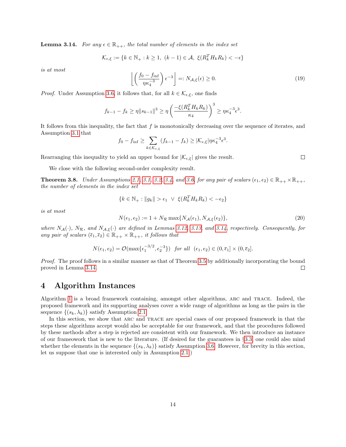**Lemma 3.14.** For any  $\epsilon \in \mathbb{R}_{++}$ , the total number of elements in the index set

$$
\mathcal{K}_{\epsilon,\xi} := \{ k \in \mathbb{N}_+ : k \ge 1, \ (k-1) \in \mathcal{A}, \ \xi(R_k^T H_k R_k) < -\epsilon \}
$$

is at most

$$
\left\lfloor \left( \frac{f_0 - f_{\inf}}{\eta \kappa_4^{-3}} \right) \epsilon^{-3} \right\rfloor =: N_{\mathcal{A}, \xi}(\epsilon) \ge 0. \tag{19}
$$

*Proof.* Under Assumption [3.6,](#page-12-1) it follows that, for all  $k \in \mathcal{K}_{\epsilon,\xi}$ , one finds

$$
f_{k-1} - f_k \ge \eta \|s_{k-1}\|^3 \ge \eta \left(\frac{-\xi(R_k^T H_k R_k)}{\kappa_4}\right)^3 \ge \eta \kappa_4^{-3} \epsilon^3.
$$

It follows from this inequality, the fact that  $f$  is monotonically decreasing over the sequence of iterates, and Assumption [3.1](#page-4-3) that

$$
f_0 - f_{\inf} \ge \sum_{k \in \mathcal{K}_{\epsilon,\xi}} (f_{k-1} - f_k) \ge |\mathcal{K}_{\epsilon,\xi}| \eta \kappa_4^{-3} \epsilon^3.
$$

Rearranging this inequality to yield an upper bound for  $|\mathcal{K}_{\epsilon,\xi}|$  gives the result.

We close with the following second-order complexity result.

**Theorem 3.8.** Under Assumptions [2.1,](#page-3-1) [3.1,](#page-4-3) [3.2,](#page-4-4) [3.4,](#page-9-2) and [3.6,](#page-12-1) for any pair of scalars  $(\epsilon_1, \epsilon_2) \in \mathbb{R}_{++} \times \mathbb{R}_{++}$ , the number of elements in the index set

$$
\{k \in \mathbb{N}_+ : \|g_k\| > \epsilon_1 \ \lor \ \xi(R_k^T H_k R_k) < -\epsilon_2\}
$$

is at most

$$
N(\epsilon_1, \epsilon_2) := 1 + N_{\mathcal{R}} \max\{N_{\mathcal{A}}(\epsilon_1), N_{\mathcal{A}, \xi}(\epsilon_2)\},\tag{20}
$$

where  $N_A(\cdot)$ ,  $N_R$ , and  $N_{A,\xi}(\cdot)$  are defined in Lemmas [3.12,](#page-11-0) [3.13,](#page-11-1) and [3.14,](#page-12-4) respectively. Consequently, for any pair of scalars  $(\bar{\epsilon}_1, \bar{\epsilon}_2) \in \mathbb{R}_{++} \times \mathbb{R}_{++}$ , it follows that

$$
N(\epsilon_1, \epsilon_2) = \mathcal{O}(\max\{\epsilon_1^{-3/2}, \epsilon_2^{-3}\}) \quad \text{for all} \quad (\epsilon_1, \epsilon_2) \in (0, \overline{\epsilon}_1] \times (0, \overline{\epsilon}_2].
$$

Proof. The proof follows in a similar manner as that of Theorem [3.5](#page-12-5) by additionally incorporating the bound proved in Lemma [3.14.](#page-12-4) □

### <span id="page-13-0"></span>4 Algorithm Instances

Algorithm [1](#page-5-0) is a broad framework containing, amongst other algorithms, arc and trace. Indeed, the proposed framework and its supporting analyses cover a wide range of algorithms as long as the pairs in the sequence  $\{(s_k, \lambda_k)\}\$  satisfy Assumption [2.1.](#page-3-1)

In this section, we show that ARC and TRACE are special cases of our proposed framework in that the steps these algorithms accept would also be acceptable for our framework, and that the procedures followed by these methods after a step is rejected are consistent with our framework. We then introduce an instance of our frameowork that is new to the literature. (If desired for the guarantees in §[3.3,](#page-12-0) one could also mind whether the elements in the sequence  $\{(s_k, \lambda_k)\}\$  satisfy Assumption [3.6.](#page-12-1) However, for brevity in this section, let us suppose that one is interested only in Assumption [2.1.](#page-3-1))

 $\Box$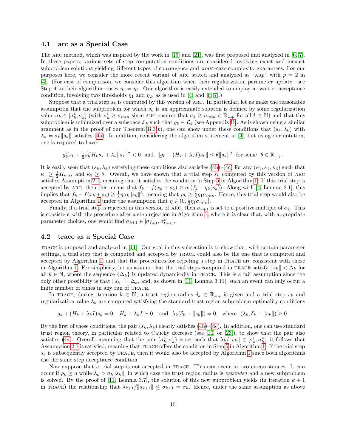#### 4.1 arc as a Special Case

The ARC method, which was inspired by the work in [\[19\]](#page-28-3) and [\[21\]](#page-28-4), was first proposed and analyzed in [\[6,](#page-27-4) [7\]](#page-27-5). In these papers, various sets of step computation conditions are considered involving exact and inexact subproblem solutions yielding different types of convergence and worst-case complexity guarantees. For our purposes here, we consider the more recent variant of ARC stated and analyzed as "ARP" with  $p = 2$  in [\[4\]](#page-27-7). (For ease of comparison, we consider this algorithm when their regularization parameter update—see Step 4 in their algorithm—uses  $\eta_1 = \eta_2$ . Our algorithm is easily extended to employ a two-tier acceptance condition, involving two thresholds  $\eta_1$  and  $\eta_2$ , as is used in [\[4\]](#page-27-7) and [\[6,](#page-27-4) [7\]](#page-27-5).)

Suppose that a trial step  $s_k$  is computed by this version of ARC. In particular, let us make the reasonable assumption that the subproblem for which  $s_k$  is an approximate solution is defined by some regularization value  $\sigma_k \in [\sigma_k^L, \sigma_k^U]$  (with  $\sigma_k^L \geq \sigma_{min}$  since ARC ensures that  $\sigma_k \geq \sigma_{min} \in \mathbb{R}_{++}$  for all  $k \in \mathbb{N}$ ) and that this subproblem is minimized over a subspace  $\mathcal{L}_k$  such that  $g_k \in \mathcal{L}_k$  (see Appendix [B\)](#page-20-0). As is shown using a similar argument as in the proof of our Theorem [B.3\(](#page-20-1)b), one can show under these conditions that  $(s_k, \lambda_k)$  with  $\lambda_k = \sigma_k ||s_k||$  satisfies [\(4a\)](#page-3-4). In addition, considering the algorithm statement in [\[4\]](#page-27-7), but using our notation, one is required to have

$$
g_k^Ts_k+\tfrac12s_k^TH_ks_k+\lambda_k\|s_k\|^2<0\ \ \text{and}\ \ \|g_k+(H_k+\lambda_kI)s_k\|\leq\theta\|s_k\|^2\ \ \text{for some}\ \ \theta\in\mathbb{R}_{++}.
$$

It is easily seen that  $(s_k, \lambda_k)$  satisfying these conditions also satisfies [\(4b\)](#page-3-5)–[\(4c\)](#page-3-3) for any  $(\kappa_1, \kappa_2, \kappa_3)$  such that  $\kappa_1 \geq \frac{1}{2}H_{max}$  and  $\kappa_3 \geq \theta$ . Overall, we have shown that a trial step  $s_k$  computed by this version of ARC satisfies Assumption [2.1,](#page-3-1) meaning that it satisfies the condition in Step [5](#page-5-0) in Algorithm [1.](#page-5-0) If this trial step is accepted by ARC, then this means that  $f_k - f(x_k + s_k) \geq \eta_1(f_k - q_k(s_k))$ . Along with [\[4,](#page-27-7) Lemma 2.1], this implies that  $f_k - f(x_k + s_k) \ge \frac{1}{3} \eta \sigma_k \|s_k\|^3$ , meaning that  $\rho_k \ge \frac{1}{3} \eta_1 \sigma_{min}$ . Hence, this trial step would also be accepted in Algorithm [1](#page-5-0) under the assumption that  $\eta \in (0, \frac{1}{3}\eta_1 \sigma_{min})$ .

Finally, if a trial step is rejected in this version of ARC, then  $\sigma_{k+1}$  is set to a positive multiple of  $\sigma_k$ . This is consistent with the procedure after a step rejection in Algorithm [1,](#page-5-0) where it is clear that, with appropriate parameter choices, one would find  $\sigma_{k+1} \in [\sigma_{k+1}^{\mathfrak{b}}, \sigma_{k+1}^{\mathfrak{v}}]$ .

#### 4.2 trace as a Special Case

trace is proposed and analyzed in [\[11\]](#page-27-9). Our goal in this subsection is to show that, with certain parameter settings, a trial step that is computed and accepted by trace could also be the one that is computed and accepted by Algorithm [1,](#page-5-0) and that the procedures for rejecting a step in TRACE are consistent with those in Algorithm [1.](#page-5-0) For simplicity, let us assume that the trial steps computed in TRACE satisfy  $||s_k|| < \Delta_k$  for all  $k \in \mathbb{N}$ , where the sequence  $\{\Delta_k\}$  is updated dynamically in TRACE. This is a fair assumption since the only other possibility is that  $||s_k|| = \Delta_k$ , and, as shown in [\[11,](#page-27-9) Lemma 3.11], such an event can only occur a finite number of times in any run of TRACE.

In TRACE, during iteration  $k \in \mathbb{N}$ , a trust region radius  $\delta_k \in \mathbb{R}_{++}$  is given and a trial step  $s_k$  and regularization value  $\lambda_k$  are computed satisfying the standard trust region subproblem optimality conditions

$$
g_k + (H_k + \lambda_k I)s_k = 0
$$
,  $H_k + \lambda_k I \succeq 0$ , and  $\lambda_k(\delta_k - ||s_k||) = 0$ , where  $(\lambda_k, \delta_k - ||s_k||) \ge 0$ .

By the first of these conditions, the pair  $(s_k, \lambda_k)$  clearly satisfies [\(4b\)](#page-3-5)–[\(4c\)](#page-3-3). In addition, one can use standard trust region theory, in particular related to Cauchy decrease (see [\[10\]](#page-27-2) or [\[23\]](#page-28-1)), to show that the pair also satisfies [\(4a\)](#page-3-4). Overall, assuming that the pair  $(\sigma_k^L, \sigma_k^U)$  is set such that  $\lambda_k/||s_k|| \in [\sigma_k^L, \sigma_k^U]$ , it follows that Assumption [2.1](#page-3-1) is satisfied, meaning that trace offers the condition in Step [5](#page-5-0) in Algorithm [1.](#page-5-0) If the trial step  $s_k$  is subsequently accepted by TRACE, then it would also be accepted by Algorithm [1](#page-5-0) since both algorithms use the same step acceptance condition.

Now suppose that a trial step is not accepted in trace. This can occur in two circumstances. It can occur if  $\rho_k \geq \eta$  while  $\lambda_k > \sigma_k ||s_k||$ , in which case the trust region radius is expanded and a new subproblem is solved. By the proof of [\[11,](#page-27-9) Lemma 3.7], the solution of this new subproblem yields (in iteration  $k + 1$ in TRACE) the relationship that  $\lambda_{k+1}/||s_{k+1}|| \leq \sigma_{k+1} = \sigma_k$ . Hence, under the same assumption as above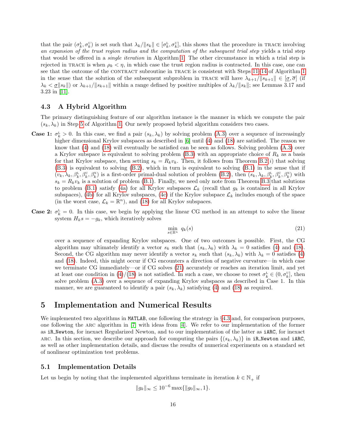that the pair  $(\sigma_k^L, \sigma_k^U)$  is set such that  $\lambda_k / ||s_k|| \in [\sigma_k^L, \sigma_k^U]$ , this shows that the procedure in TRACE involving an expansion of the trust region radius and the computation of the subsequent trial step yields a trial step that would be offered in a single iteration in Algorithm [1.](#page-5-0) The other circumstance in which a trial step is rejected in TRACE is when  $\rho_k < \eta$ , in which case the trust region radius is contracted. In this case, one can see that the outcome of the CONTRACT subroutine in TRACE is consistent with Steps [11–14](#page-5-0) of Algorithm [1](#page-5-0) in the sense that the solution of the subsequent subproblem in TRACE will have  $\lambda_{k+1}/\|s_{k+1}\| \in [\sigma, \overline{\sigma}]$  (if  $\lambda_k < \underline{\sigma} ||s_k||$  or  $\lambda_{k+1}/||s_{k+1}||$  within a range defined by positive multiples of  $\lambda_k/||s_k||$ ; see Lemmas 3.17 and 3.23 in [\[11\]](#page-27-9).

#### <span id="page-15-2"></span>4.3 A Hybrid Algorithm

The primary distinguishing feature of our algorithm instance is the manner in which we compute the pair  $(s_k, \lambda_k)$  in Step [5](#page-5-0) of Algorithm [1.](#page-5-0) Our newly proposed hybrid algorithm considers two cases.

- **Case 1:**  $\sigma_k^L > 0$ . In this case, we find a pair  $(s_k, \lambda_k)$  by solving problem [\(A.3\)](#page-19-0) over a sequence of increasingly higher dimensional Krylov subspaces as described in [\[6\]](#page-27-4) until [\(4\)](#page-3-6) and [\(18\)](#page-12-2) are satisfied. The reason we know that [\(4\)](#page-3-6) and [\(18\)](#page-12-2) will eventually be satisfied can be seen as follows. Solving problem [\(A.3\)](#page-19-0) over a Krylov subspace is equivalent to solving problem [\(B.3\)](#page-20-2) with an appropriate choice of  $R_k$  as a basis for that Krylov subspace, then setting  $s_k = R_k v_k$ . Then, it follows from Theorem [B.2\(](#page-20-3)*i*) that solving [\(B.3\)](#page-20-2) is equivalent to solving [\(B.2\)](#page-20-4), which in turn is equivalent to solving [\(B.1\)](#page-20-5) in the sense that if  $(v_k, \lambda_k, \beta_k^L, \beta_k^U, \beta_k^N)$  is a first-order primal-dual solution of problem [\(B.2\)](#page-20-4), then  $(s_k, \lambda_k, \beta_k^L, \beta_k^U, \beta_k^N)$  with  $s_k = R_k v_k$  is a solution of problem [\(B.1\)](#page-20-5). Finally, we need only note from Theorem [B.3](#page-20-1) that solutions to problem [\(B.1\)](#page-20-5) satisfy [\(4a\)](#page-3-4) for all Krylov subspaces  $\mathcal{L}_k$  (recall that  $g_k$  is contained in all Krylov subspaces), [\(4b\)](#page-3-5) for all Krylov subspaces, [\(4c\)](#page-3-3) if the Krylov subspace  $\mathcal{L}_k$  includes enough of the space (in the worst case,  $\mathcal{L}_k = \mathbb{R}^n$ ), and [\(18\)](#page-12-2) for all Krylov subspaces.
- **Case 2:**  $\sigma_k^L = 0$ . In this case, we begin by applying the linear CG method in an attempt to solve the linear system  $H_k s = -g_k$ , which iteratively solves

<span id="page-15-1"></span>
$$
\min_{s \in \mathbb{R}^n} q_k(s) \tag{21}
$$

over a sequence of expanding Krylov subspaces. One of two outcomes is possible. First, the CG algorithm may ultimately identify a vector  $s_k$  such that  $(s_k, \lambda_k)$  with  $\lambda_k = 0$  satisfies [\(4\)](#page-3-6) and [\(18\)](#page-12-2). Second, the CG algorithm may never identify a vector  $s_k$  such that  $(s_k, \lambda_k)$  with  $\lambda_k = 0$  satisfies [\(4\)](#page-3-6) and [\(18\)](#page-12-2). Indeed, this might occur if CG encounters a direction of negative curvature—in which case we terminate CG immediately—or if CG solves [\(21\)](#page-15-1) accurately or reaches an iteration limit, and yet at least one condition in [\(4\)](#page-3-6)/[\(18\)](#page-12-2) is not satisfied. In such a case, we choose to reset  $\sigma_k^L \in (0, \sigma_k^U]$ , then solve problem [\(A.3\)](#page-19-0) over a sequence of expanding Krylov subspaces as described in Case 1. In this manner, we are guaranteed to identify a pair  $(s_k, \lambda_k)$  satisfying [\(4\)](#page-3-6) and [\(18\)](#page-12-2) as required.

## <span id="page-15-0"></span>5 Implementation and Numerical Results

We implemented two algorithms in MATLAB, one following the strategy in  $\S 4.3$  $\S 4.3$  and, for comparison purposes, one following the arc algorithm in [\[7\]](#page-27-5) with ideas from [\[4\]](#page-27-7). We refer to our implementation of the former as iR Newton, for inexact Regularized Newton, and to our implementation of the latter as iARC, for inexact ARC. In this section, we describe our approach for computing the pairs  $\{(s_k, \lambda_k)\}\$  in iR Newton and iARC. as well as other implementation details, and discuss the results of numerical experiments on a standard set of nonlinear optimization test problems.

#### 5.1 Implementation Details

Let us begin by noting that the implemented algorithms terminate in iteration  $k \in \mathbb{N}_+$  if

$$
||g_k||_{\infty} \le 10^{-6} \max\{||g_0||_{\infty}, 1\}.
$$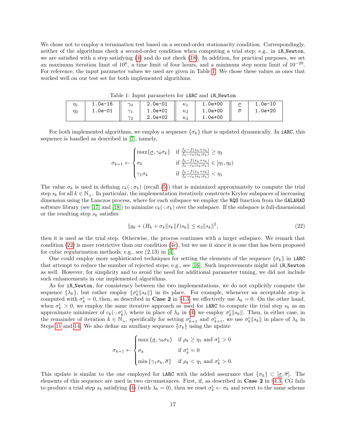We chose not to employ a termination test based on a second-order stationarity condition. Correspondingly, neither of the algorithms check a second-order condition when computing a trial step; e.g., in iR Newton, we are satisfied with a step satisfying [\(4\)](#page-3-6) and do not check [\(18\)](#page-12-2). In addition, for practical purposes, we set an maximum iteration limit of  $10^6$ , a time limit of four hours, and a minimum step norm limit of  $10^{-20}$ . For reference, the input parameter values we used are given in Table [1.](#page-16-0) We chose these values as ones that worked well on our test set for both implemented algorithms.

<span id="page-16-0"></span>

|          | 1.0e-16 $\parallel \gamma_0$ |            | 2.0e-01 $\parallel$ $\kappa_1$                                                                                                   |  | $  1.0e + 00$ | $\sigma$ | 1.0e-10     |  |  |
|----------|------------------------------|------------|----------------------------------------------------------------------------------------------------------------------------------|--|---------------|----------|-------------|--|--|
| $\eta_2$ | 1.0e-01 $   \gamma_1$        |            | $\begin{array}{ c c c c c }\hline \rule{0pt}{1.2ex}\rule{0pt}{2.2ex} & \text{1.0e+01} & \parallel & \kappa_2 \hline \end{array}$ |  | $1.0e+00$     |          | $1.0e + 20$ |  |  |
|          |                              | $\gamma_2$ | 2.0e+02 $\parallel$ $\kappa_3$                                                                                                   |  | 1.0e+00       |          |             |  |  |

Table 1: Input parameters for iARC and iR Newton

For both implemented algorithms, we employ a sequence  $\{\sigma_k\}$  that is updated dynamically. In iARC, this sequence is handled as described in [\[7\]](#page-27-5), namely,

$$
\sigma_{k+1} \leftarrow \begin{cases} \max\{\underline{\sigma}, \gamma_0 \sigma_k\} & \text{if } \frac{f_k - f(x_k + s_k)}{f_k - c_k(s_k; \sigma_k)} \ge \eta_2 \\ \sigma_k & \text{if } \frac{f_k - f(x_k + s_k)}{f_k - c_k(s_k; \sigma_k)} \in [\eta_1, \eta_2) \\ \gamma_1 \sigma_k & \text{if } \frac{f_k - f(x_k + s_k)}{f_k - c_k(s_k; \sigma_k)} < \eta_1 \end{cases}
$$

The value  $\sigma_k$  is used in defining  $c_k(\cdot;\sigma_k)$  (recall [\(5\)](#page-4-2)) that is minimized approximately to compute the trial step  $s_k$  for all  $k \in \mathbb{N}_+$ . In particular, the implementation iteratively constructs Krylov subspaces of increasing dimension using the Lanczos process, where for each subspace we employ the RQS function from the GALAHAD software library (see [\[17\]](#page-28-6) and [\[18\]](#page-28-7)) to minimize  $c_k(\cdot;\sigma_k)$  over the subspace. If the subspace is full-dimensional or the resulting step  $s_k$  satisfies

<span id="page-16-1"></span>
$$
||g_k + (H_k + \sigma_k ||s_k||)s_k|| \le \kappa_3 ||s_k||^2,
$$
\n(22)

then it is used as the trial step. Otherwise, the process continues with a larger subspace. We remark that condition  $(22)$  is more restrictive than our condition  $(4c)$ , but we use it since it is one that has been proposed for cubic regularization methods; e.g., see (2.13) in [\[4\]](#page-27-7).

One could employ more sophisticated techniques for setting the elements of the sequence  $\{\sigma_k\}$  in iARC that attempt to reduce the number of rejected steps; e.g., see [\[16\]](#page-27-13). Such improvements might aid iR Newton as well. However, for simplicity and to avoid the need for additional parameter tuning, we did not include such enhancements in our implemented algorithms.

As for iR Newton, for consistency between the two implementations, we do not explicitly compute the sequence  $\{\lambda_k\}$ , but rather employ  $\{\sigma_k^L || s_k ||\}$  in its place. For example, whenever an acceptable step is computed with  $\sigma_k^L = 0$ , then, as described in **Case 2** in §[4.3,](#page-15-2) we effectively use  $\lambda_k = 0$ . On the other hand, when  $\sigma_k^L > 0$ , we employ the same iterative approach as used for **iARC** to compute the trial step  $s_k$  as an approximate minimizer of  $c_k(\cdot;\sigma_k^L)$ , where in place of  $\lambda_k$  in [\(4\)](#page-3-6) we employ  $\sigma_k^L||s_k||$ . Then, in either case, in the remainder of iteration  $k \in \mathbb{N}_+$ , specifically for setting  $\sigma_{k+1}^{\perp}$  and  $\sigma_{k+1}^{\perp}$ , we use  $\sigma_k^{\perp} || s_k ||$  in place of  $\lambda_k$  in Steps [11](#page-5-0) and [14.](#page-5-0) We also define an auxiliary sequence  $\{\sigma_k\}$  using the update

$$
\sigma_{k+1} \leftarrow \begin{cases} \max \left\{ \underline{\sigma}, \gamma_0 \sigma_k \right\} & \text{if } \rho_k \geq \eta_1 \text{ and } \sigma_k^{\text{L}} > 0 \\ \sigma_k & \text{if } \sigma_k^{\text{L}} = 0 \\ \min \left\{ \gamma_1 \sigma_k, \overline{\sigma} \right\} & \text{if } \rho_k < \eta_1 \text{ and } \sigma_k^{\text{L}} > 0. \end{cases}
$$

This update is similar to the one employed for **iARC** with the added assurance that  $\{\sigma_k\} \subset [\sigma, \overline{\sigma}]$ . The elements of this sequence are used in two circumstances. First, if, as described in Case 2 in §[4.3,](#page-15-2) CG fails to produce a trial step  $s_k$  satisfying [\(4\)](#page-3-6) (with  $\lambda_k = 0$ ), then we reset  $\sigma_k^L \leftarrow \sigma_k$  and revert to the same scheme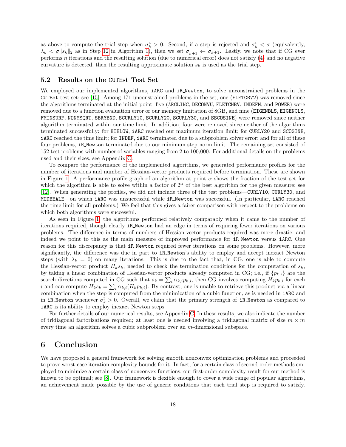as above to compute the trial step when  $\sigma_k^L > 0$ . Second, if a step is rejected and  $\sigma_k^L < \underline{\sigma}$  (equivalently,  $\lambda_k < \underline{\sigma} \|s_k\|_2$  as in Step [12](#page-5-0) in Algorithm [1\)](#page-5-0), then we set  $\sigma_{k+1}^L \leftarrow \sigma_{k+1}$ . Lastly, we note that if CG ever performs n iterations and the resulting solution (due to numerical error) does not satisfy [\(4\)](#page-3-6) and no negative curvature is detected, then the resulting approximate solution  $s_k$  is used as the trial step.

#### 5.2 Results on the CUTEst Test Set

We employed our implemented algorithms, **iARC** and **iR\_Newton**, to solve unconstrained problems in the CUTEst test set; see [\[15\]](#page-27-14). Among 171 unconstrained problems in the set, one (FLETCBV2) was removed since the algorithms terminated at the initial point, five (ARGLINC, DECONVU, FLETCHBV, INDEFM, and POWER) were removed due to a function evaluation error or our memory limitation of 8GB, and nine (EIGENBLS, EIGENCLS, FMINSURF, NONMSQRT, SBRYBND, SCURLY10, SCURLY20, SCURLY30, and SSCOSINE) were removed since neither algorithm terminated within our time limit. In addition, four were removed since neither of the algorithms terminated successfully: for HIELOW, iARC reached our maximum iteration limit; for CURLY20 and SCOSINE, iARC reached the time limit; for INDEF, iARC terminated due to a subproblem solver error; and for all of these four problems, iR Newton terminated due to our minimum step norm limit. The remaining set consisted of 152 test problems with number of variables ranging from 2 to 100,000. For additional details on the problems used and their sizes, see Appendix [C.](#page-22-0)

To compare the performance of the implemented algorithms, we generated performance profiles for the number of iterations and number of Hessian-vector products required before termination. These are shown in Figure [1.](#page-18-1) A performance profile graph of an algorithm at point  $\alpha$  shows the fraction of the test set for which the algorithm is able to solve within a factor of  $2^{\alpha}$  of the best algorithm for the given measure; see [\[12\]](#page-27-15). When generating the profiles, we did not include three of the test problems—CURLY10, CURLY30, and MODBEALE—on which iARC was unsuccessful while iR Newton was successful. (In particular, iARC reached the time limit for all problems.) We feel that this gives a fairer comparison with respect to the problems on which both algorithms were successful.

As seen in Figure [1,](#page-18-1) the algorithms performed relatively comparably when it came to the number of iterations required, though clearly iR Newton had an edge in terms of requiring fewer iterations on various problems. The difference in terms of numbers of Hessian-vector products required was more drastic, and indeed we point to this as the main measure of improved performance for iR Newton versus iARC. One reason for this discrepancy is that iR Newton required fewer iterations on some problems. However, more significantly, the difference was due in part to iR Newton's ability to employ and accept inexact Newton steps (with  $\lambda_k = 0$ ) on many iterations. This is due to the fact that, in CG, one is able to compute the Hessian-vector product  $H_k s_k$ , needed to check the termination conditions for the computation of  $s_k$ , by taking a linear combination of Hessian-vector products already computed in CG; i.e., if  $\{p_{k,i}\}\$ are the search directions computed in CG such that  $s_k = \sum_i \alpha_{k,i} p_{k,i}$ , then CG involves computing  $H_k p_{k,i}$  for each i and can compute  $H_k s_k = \sum_i \alpha_{k,i}(H_k p_{k,i})$ . By contrast, one is unable to retrieve this product via a linear combination when the step is computed from the minimization of a cubic function, as is needed in iARC and in iR Newton whenever  $\sigma_k^L > 0$ . Overall, we claim that the primary strength of iR Newton as compared to iARC is its ability to employ inexact Newton steps.

For further details of our numerical results, see Appendix [C.](#page-22-0) In these results, we also indicate the number of tridiagonal factorizations required; at least one is needed involving a tridiagonal matrix of size  $m \times m$ every time an algorithm solves a cubic subproblem over an m-dimensional subspace.

## <span id="page-17-0"></span>6 Conclusion

We have proposed a general framework for solving smooth nonconvex optimization problems and proceeded to prove worst-case iteration complexity bounds for it. In fact, for a certain class of second-order methods employed to minimize a certain class of nonconvex functions, our first-order complexity result for our method is known to be optimal; see [\[8\]](#page-27-6). Our framework is flexible enough to cover a wide range of popular algorithms, an achievement made possible by the use of generic conditions that each trial step is required to satisfy.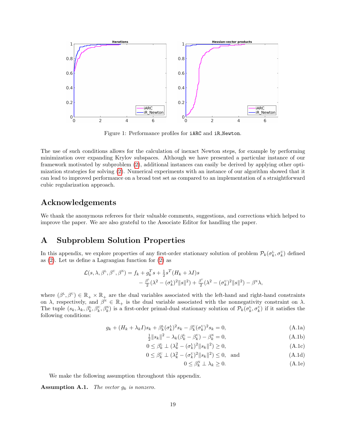

<span id="page-18-1"></span>Figure 1: Performance profiles for iARC and iR Newton.

The use of such conditions allows for the calculation of inexact Newton steps, for example by performing minimization over expanding Krylov subspaces. Although we have presented a particular instance of our framework motivated by subproblem [\(2\)](#page-3-2), additional instances can easily be derived by applying other optimization strategies for solving [\(2\)](#page-3-2). Numerical experiments with an instance of our algorithm showed that it can lead to improved performance on a broad test set as compared to an implementation of a straightforward cubic regularization approach.

## Acknowledgements

We thank the anonymous referees for their valuable comments, suggestions, and corrections which helped to improve the paper. We are also grateful to the Associate Editor for handling the paper.

## <span id="page-18-0"></span>A Subproblem Solution Properties

In this appendix, we explore properties of any first-order stationary solution of problem  $\mathcal{P}_k(\sigma_k^L, \sigma_k^U)$  defined as [\(2\)](#page-3-2). Let us define a Lagrangian function for [\(2\)](#page-3-2) as

$$
\mathcal{L}(s,\lambda,\beta^{\mathsf{L}},\beta^{\mathsf{U}},\beta^{\mathsf{N}}) = f_k + g_k^T s + \frac{1}{2} s^T (H_k + \lambda I) s -\frac{\beta^{\mathsf{L}}}{2} (\lambda^2 - (\sigma_k^{\mathsf{L}})^2 ||s||^2) + \frac{\beta^{\mathsf{U}}}{2} (\lambda^2 - (\sigma_k^{\mathsf{U}})^2 ||s||^2) - \beta^{\mathsf{N}} \lambda,
$$

where  $(\beta^L, \beta^U) \in \mathbb{R}_+ \times \mathbb{R}_+$  are the dual variables associated with the left-hand and right-hand constraints on  $\lambda$ , respectively, and  $\beta^N \in \mathbb{R}_+$  is the dual variable associated with the nonnegativity constraint on  $\lambda$ . The tuple  $(s_k, \lambda_k, \beta_k^L, \beta_k^U, \beta_k^N)$  is a first-order primal-dual stationary solution of  $\mathcal{P}_k(\sigma_k^L, \sigma_k^U)$  if it satisfies the following conditions:

<span id="page-18-3"></span>
$$
g_k + (H_k + \lambda_k I)s_k + \beta_k^{\text{L}}(\sigma_k^{\text{L}})^2 s_k - \beta_k^{\text{U}}(\sigma_k^{\text{U}})^2 s_k = 0,
$$
\n(A.1a)

$$
\frac{1}{2}||s_k||^2 - \lambda_k(\beta_k^{\mathcal{L}} - \beta_k^{\mathcal{U}}) - \beta_k^{\mathcal{N}} = 0,
$$
\n(A.1b)

$$
0 \leq \beta_k^{\mathsf{L}} \perp (\lambda_k^2 - (\sigma_k^{\mathsf{L}})^2 \|s_k\|^2) \geq 0,
$$
\n(A.1c)

$$
0 \le \beta_k^{\mathbf{U}} \perp (\lambda_k^2 - (\sigma_k^{\mathbf{U}})^2 ||s_k||^2) \le 0, \text{ and} \tag{A.1d}
$$

<span id="page-18-6"></span><span id="page-18-5"></span><span id="page-18-4"></span><span id="page-18-2"></span>
$$
0 \le \beta_k^N \perp \lambda_k \ge 0. \tag{A.1e}
$$

We make the following assumption throughout this appendix.

**Assumption A.1.** The vector  $g_k$  is nonzero.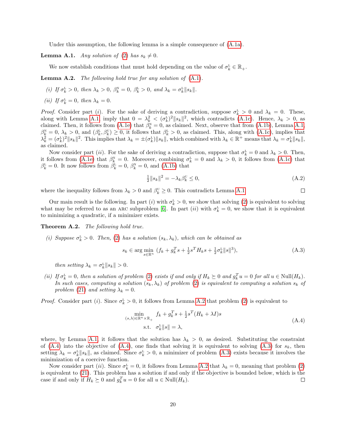Under this assumption, the following lemma is a simple consequence of  $(A.1a)$ .

<span id="page-19-1"></span>**Lemma A.1.** Any solution of [\(2\)](#page-3-2) has  $s_k \neq 0$ .

We now establish conditions that must hold depending on the value of  $\sigma_k^L \in \mathbb{R}_+$ .

<span id="page-19-2"></span>Lemma A.2. The following hold true for any solution of  $(A.1)$ .

- (i) If  $\sigma_k^L > 0$ , then  $\lambda_k > 0$ ,  $\beta_k^N = 0$ ,  $\beta_k^L > 0$ , and  $\lambda_k = \sigma_k^L ||s_k||$ .
- (*ii*) If  $\sigma_k^L = 0$ , then  $\lambda_k = 0$ .

*Proof.* Consider part (*i*). For the sake of deriving a contradiction, suppose  $\sigma_k^L > 0$  and  $\lambda_k = 0$ . These, along with Lemma [A.1,](#page-19-1) imply that  $0 = \lambda_k^2 < (\sigma_k^L)^2 ||s_k||^2$ , which contradicts [\(A.1c\)](#page-18-4). Hence,  $\lambda_k > 0$ , as claimed. Then, it follows from [\(A.1e\)](#page-18-5) that  $\hat{\beta}_k^N = 0$ , as claimed. Next, observe that from [\(A.1b\)](#page-18-6), Lemma [A.1,](#page-19-1)  $\beta_k^N = 0, \lambda_k > 0$ , and  $(\beta_k^L, \beta_k^U) \geq 0$ , it follows that  $\beta_k^L > 0$ , as claimed. This, along with  $(A.\text{1c})$ , implies that  $\lambda_k^2 = (\sigma_k^L)^2 ||s_k||^2$ . This implies that  $\lambda_k = \pm (\sigma_k^L) ||s_k||$ , which combined with  $\lambda_k \in \mathbb{R}^+$  means that  $\lambda_k = \sigma_k^L ||s_k||$ . as claimed.

Now consider part (*ii*). For the sake of deriving a contradiction, suppose that  $\sigma_k^L = 0$  and  $\lambda_k > 0$ . Then, it follows from [\(A.1e\)](#page-18-5) that  $\beta_k^N = 0$ . Moreover, combining  $\sigma_k^L = 0$  and  $\lambda_k > 0$ , it follows from [\(A.1c\)](#page-18-4) that  $\beta_k^{\text{L}} = 0$ . It now follows from  $\hat{\beta}_k^{\text{L}} = 0$ ,  $\beta_k^{\text{N}} = 0$ , and [\(A.1b\)](#page-18-6) that

$$
\frac{1}{2}||s_k||^2 = -\lambda_k \beta_k^{\mathbf{U}} \le 0,\tag{A.2}
$$

where the inequality follows from  $\lambda_k > 0$  and  $\beta_k^{\text{U}} \geq 0$ . This contradicts Lemma [A.1.](#page-19-1)  $\Box$ 

Our main result is the following. In part (*i*) with  $\sigma_k^L > 0$ , we show that solving [\(2\)](#page-3-2) is equivalent to solving what may be referred to as an ARC subproblem [\[6\]](#page-27-4). In part (*ii*) with  $\sigma_k^L = 0$ , we show that it is equivalent to minimizing a quadratic, if a minimizer exists.

<span id="page-19-4"></span>Theorem A.2. The following hold true.

(i) Suppose  $\sigma_k^L > 0$ . Then, [\(2\)](#page-3-2) has a solution  $(s_k, \lambda_k)$ , which can be obtained as

<span id="page-19-0"></span>
$$
s_k \in \arg\min_{s \in \mathbb{R}^n} (f_k + g_k^T s + \frac{1}{2} s^T H_k s + \frac{1}{2} \sigma_k^L ||s||^3),
$$
 (A.3)

then setting  $\lambda_k = \sigma_k^L ||s_k|| > 0$ .

(ii) If  $\sigma_k^L = 0$ , then a solution of problem [\(2\)](#page-3-2) exists if and only if  $H_k \succeq 0$  and  $g_k^T u = 0$  for all  $u \in Null(H_k)$ . In such cases, computing a solution  $(s_k, \lambda_k)$  of problem [\(2\)](#page-3-2) is equivalent to computing a solution  $s_k$  of problem [\(21\)](#page-15-1) and setting  $\lambda_k = 0$ .

*Proof.* Consider part (*i*). Since  $\sigma_k^L > 0$ , it follows from Lemma [A.2](#page-19-2) that problem [\(2\)](#page-3-2) is equivalent to

<span id="page-19-3"></span>
$$
\min_{(s,\lambda)\in\mathbb{R}^n\times\mathbb{R}_+} f_k + g_k^T s + \frac{1}{2} s^T (H_k + \lambda I) s
$$
\n
$$
\text{s.t.} \quad \sigma_k^L ||s|| = \lambda,
$$
\n(A.4)

where, by Lemma [A.1,](#page-19-1) it follows that the solution has  $\lambda_k > 0$ , as desired. Substituting the constraint of  $(A.4)$  into the objective of  $(A.4)$ , one finds that solving it is equivalent to solving  $(A.3)$  for  $s_k$ , then setting  $\lambda_k = \sigma_k^L ||s_k||$ , as claimed. Since  $\sigma_k^L > 0$ , a minimizer of problem [\(A.3\)](#page-19-0) exists because it involves the minimization of a coercive function.

Now consider part (*ii*). Since  $\sigma_k^L = 0$ , it follows from Lemma [A.2](#page-19-2) that  $\lambda_k = 0$ , meaning that problem [\(2\)](#page-3-2) is equivalent to [\(21\)](#page-15-1). This problem has a solution if and only if the objective is bounded below, which is the case if and only if  $H_k \succeq 0$  and  $g_k^T u = 0$  for all  $u \in Null(H_k)$ .  $\Box$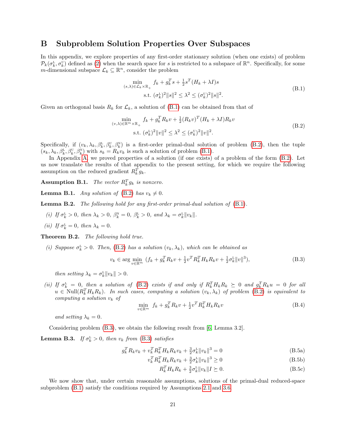## <span id="page-20-0"></span>B Subproblem Solution Properties Over Subspaces

In this appendix, we explore properties of any first-order stationary solution (when one exists) of problem  $\mathcal{P}_k(\sigma_k^{\text{L}}, \sigma_k^{\text{U}})$  defined as [\(2\)](#page-3-2) when the search space for s is restricted to a subspace of  $\mathbb{R}^n$ . Specifically, for some m-dimensional subspace  $\mathcal{L}_k \subseteq \mathbb{R}^n$ , consider the problem

<span id="page-20-5"></span>
$$
\min_{(s,\lambda)\in\mathcal{L}_k\times\mathbb{R}_+} f_k + g_k^T s + \frac{1}{2}s^T (H_k + \lambda I)s
$$
\n
$$
\text{s.t. } (\sigma_k^L)^2 \|s\|^2 \le \lambda^2 \le (\sigma_k^U)^2 \|s\|^2. \tag{B.1}
$$

Given an orthogonal basis  $R_k$  for  $\mathcal{L}_k$ , a solution of [\(B.1\)](#page-20-5) can be obtained from that of

<span id="page-20-4"></span>
$$
\min_{(v,\lambda)\in\mathbb{R}^m\times\mathbb{R}_+} f_k + g_k^T R_k v + \frac{1}{2} (R_k v)^T (H_k + \lambda I) R_k v
$$
\n
$$
\text{s.t. } (\sigma_k^L)^2 \|v\|^2 \le \lambda^2 \le (\sigma_k^U)^2 \|v\|^2. \tag{B.2}
$$

Specifically, if  $(v_k, \lambda_k, \beta_k^L, \beta_k^U, \beta_k^N)$  is a first-order primal-dual solution of problem [\(B.2\)](#page-20-4), then the tuple  $(s_k, \lambda_k, \beta_k^L, \beta_k^U, \beta_k^N)$  with  $s_k = R_k v_k$  is such a solution of problem [\(B.1\)](#page-20-5).

In Appendix [A,](#page-18-0) we proved properties of a solution (if one exists) of a problem of the form  $(B.2)$ . Let us now translate the results of that appendix to the present setting, for which we require the following assumption on the reduced gradient  $R_k^T g_k$ .

**Assumption B.1.** The vector  $R_k^T g_k$  is nonzero.

<span id="page-20-6"></span>**Lemma B.1.** Any solution of [\(B.2\)](#page-20-4) has  $v_k \neq 0$ .

<span id="page-20-9"></span>Lemma B.2. The following hold for any first-order primal-dual solution of  $(B.1)$ .

- (i) If  $\sigma_k^L > 0$ , then  $\lambda_k > 0$ ,  $\beta_k^N = 0$ ,  $\beta_k^L > 0$ , and  $\lambda_k = \sigma_k^L ||v_k||$ .
- (*ii*) If  $\sigma_k^L = 0$ , then  $\lambda_k = 0$ .

<span id="page-20-3"></span>Theorem B.2. The following hold true.

(i) Suppose  $\sigma_k^L > 0$ . Then, [\(B.2\)](#page-20-4) has a solution  $(v_k, \lambda_k)$ , which can be obtained as

<span id="page-20-2"></span>
$$
v_k \in \arg\min_{v \in \mathbb{R}^m} (f_k + g_k^T R_k v + \frac{1}{2} v^T R_k^T H_k R_k v + \frac{1}{2} \sigma_k^L ||v||^3), \tag{B.3}
$$

then setting  $\lambda_k = \sigma_k^L ||v_k|| > 0$ .

(ii) If  $\sigma_k^L = 0$ , then a solution of [\(B.2\)](#page-20-4) exists if and only if  $R_k^T H_k R_k \succeq 0$  and  $g_k^T R_k u = 0$  for all  $u \in Null(R_k^TH_kR_k)$ . In such cases, computing a solution  $(v_k, \lambda_k)$  of problem [\(B.2\)](#page-20-4) is equivalent to computing a solution  $v_k$  of

<span id="page-20-12"></span>
$$
\min_{v \in \mathbb{R}^m} f_k + g_k^T R_k v + \frac{1}{2} v^T R_k^T H_k R_k v \tag{B.4}
$$

and setting  $\lambda_k = 0$ .

Considering problem [\(B.3\)](#page-20-2), we obtain the following result from [\[6,](#page-27-4) Lemma 3.2].

<span id="page-20-7"></span>**Lemma B.3.** If  $\sigma_k^L > 0$ , then  $v_k$  from [\(B.3\)](#page-20-2) satisfies

$$
g_k^T R_k v_k + v_k^T R_k^T H_k R_k v_k + \frac{3}{2} \sigma_k^L ||v_k||^3 = 0
$$
\n(B.5a)

$$
v_k^T R_k^T H_k R_k v_k + \frac{3}{2} \sigma_k^L \|v_k\|^3 \ge 0
$$
\n(B.5b)

<span id="page-20-11"></span><span id="page-20-10"></span><span id="page-20-8"></span>
$$
R_k^T H_k R_k + \frac{3}{2} \sigma_k^L ||v_k|| I \succeq 0. \tag{B.5c}
$$

<span id="page-20-1"></span>We now show that, under certain reasonable assumptions, solutions of the primal-dual reduced-space subproblem [\(B.1\)](#page-20-5) satisfy the conditions required by Assumptions [2.1](#page-3-1) and [3.6.](#page-12-1)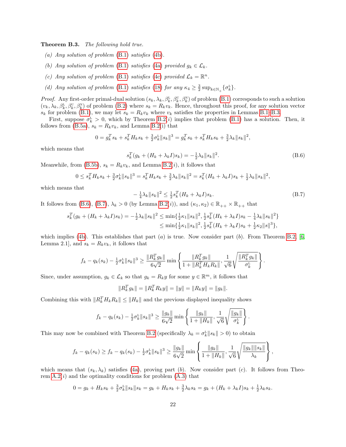Theorem B.3. The following hold true.

- (a) Any solution of problem  $(B.1)$  satisfies  $(4b)$ .
- (b) Any solution of problem [\(B.1\)](#page-20-5) satisfies [\(4a\)](#page-3-4) provided  $g_k \in \mathcal{L}_k$ .
- (c) Any solution of problem [\(B.1\)](#page-20-5) satisfies [\(4c\)](#page-3-3) provided  $\mathcal{L}_k = \mathbb{R}^n$ .
- (d) Any solution of problem [\(B.1\)](#page-20-5) satisfies [\(18\)](#page-12-2) for any  $\kappa_4 \geq \frac{3}{2} \sup_{k \in \mathbb{N}_+} {\{\sigma_k^L\}}$ .

*Proof.* Any first-order primal-dual solution  $(s_k, \lambda_k, \beta_k^L, \beta_k^U, \beta_k^N)$  of problem [\(B.1\)](#page-20-5) corresponds to such a solution  $(v_k, \lambda_k, \beta_k^L, \beta_k^U, \beta_k^N)$  of problem [\(B.2\)](#page-20-4) where  $s_k = R_k v_k$ . Hence, throughout this proof, for any solution vector  $s_k$  for problem [\(B.1\)](#page-20-5), we may let  $s_k = R_k v_k$  where  $v_k$  satisfies the properties in Lemmas [B.1–](#page-20-6)[B.3.](#page-20-7)

First, suppose  $\sigma_k^L > 0$ , which by Theorem [B.2\(](#page-20-3)*i*) implies that problem [\(B.1\)](#page-20-5) has a solution. Then, it follows from [\(B.5a\)](#page-20-8),  $s_k = R_k v_k$ , and Lemma [B.2\(](#page-20-9)i) that

$$
0 = g_k^T s_k + s_k^T H_k s_k + \frac{3}{2} \sigma_k^L \|s_k\|^3 = g_k^T s_k + s_k^T H_k s_k + \frac{3}{2} \lambda_k \|s_k\|^2,
$$

which means that

<span id="page-21-0"></span>
$$
s_k^T(g_k + (H_k + \lambda_k I)s_k) = -\frac{1}{2}\lambda_k \|s_k\|^2.
$$
 (B.6)

Meanwhile, from [\(B.5b\)](#page-20-10),  $s_k = R_k v_k$ , and Lemma [B.2\(](#page-20-9)*i*), it follows that

$$
0 \leq s_k^T H_k s_k + \frac{3}{2} \sigma_k^L \|s_k\|^3 = s_k^T H_k s_k + \frac{3}{2} \lambda_k \|s_k\|^2 = s_k^T (H_k + \lambda_k I) s_k + \frac{1}{2} \lambda_k \|s_k\|^2,
$$

which means that

<span id="page-21-1"></span>
$$
-\frac{1}{4}\lambda_k \|s_k\|^2 \le \frac{1}{2}s_k^T (H_k + \lambda_k I)s_k. \tag{B.7}
$$

It follows from [\(B.6\)](#page-21-0), [\(B.7\)](#page-21-1),  $\lambda_k > 0$  (by Lemma [B.2\(](#page-20-9)i)), and  $(\kappa_1, \kappa_2) \in \mathbb{R}_{++} \times \mathbb{R}_{++}$  that

$$
s_k^T(g_k + (H_k + \lambda_k I)s_k) = -\frac{1}{2}\lambda_k \|s_k\|^2 \le \min\{\frac{1}{2}\kappa_1 \|s_k\|^2, \frac{1}{2}s_k^T(H_k + \lambda_k I)s_k - \frac{1}{4}\lambda_k \|s_k\|^2\} \le \min\{\frac{1}{2}\kappa_1 \|s_k\|^2, \frac{1}{2}s_k^T(H_k + \lambda_k I)s_k + \frac{1}{2}\kappa_2 \|s\|^3\},
$$

which implies [\(4b\)](#page-3-5). This establishes that part (a) is true. Now consider part (b). From Theorem [B.2,](#page-20-3) [\[6,](#page-27-4) Lemma 2.1, and  $s_k = R_k v_k$ , it follows that

$$
f_k - q_k(s_k) - \frac{1}{2}\sigma_k^L \|s_k\|^3 \ge \frac{\|R_k^T g_k\|}{6\sqrt{2}} \min\left\{\frac{\|R_k^T g_k\|}{1 + \|R_k^T H_k R_k\|}, \frac{1}{\sqrt{6}}\sqrt{\frac{\|R_k^T g_k\|}{\sigma_k^L}}\right\}.
$$

Since, under assumption,  $g_k \in \mathcal{L}_k$  so that  $g_k = R_k y$  for some  $y \in \mathbb{R}^m$ , it follows that

$$
||R_k^T g_k|| = ||R_k^T R_k y|| = ||y|| = ||R_k y|| = ||g_k||.
$$

Combining this with  $||R_k^TH_kR_k|| \leq ||H_k||$  and the previous displayed inequality shows

$$
f_k - q_k(s_k) - \frac{1}{2}\sigma_k^L \|s_k\|^3 \ge \frac{\|g_k\|}{6\sqrt{2}} \min\left\{\frac{\|g_k\|}{1 + \|H_k\|}, \frac{1}{\sqrt{6}}\sqrt{\frac{\|g_k\|}{\sigma_k^L}}\right\}.
$$

This may now be combined with Theorem [B.2](#page-20-3) (specifically  $\lambda_k = \sigma_k^L ||s_k|| > 0$ ) to obtain

$$
f_k - q_k(s_k) \ge f_k - q_k(s_k) - \frac{1}{2}\sigma_k^{\mathbb{L}} \|s_k\|^3 \ge \frac{\|g_k\|}{6\sqrt{2}} \min\left\{\frac{\|g_k\|}{1 + \|H_k\|}, \frac{1}{\sqrt{6}}\sqrt{\frac{\|g_k\| \|s_k\|}{\lambda_k}}\right\},\,
$$

which means that  $(s_k, \lambda_k)$  satisfies [\(4a\)](#page-3-4), proving part (b). Now consider part (c). It follows from Theorem  $A.2(i)$  and the optimality conditions for problem  $(A.3)$  that

$$
0 = g_k + H_k s_k + \frac{3}{2} \sigma_k^L ||s_k|| s_k = g_k + H_k s_k + \frac{3}{2} \lambda_k s_k = g_k + (H_k + \lambda_k I) s_k + \frac{1}{2} \lambda_k s_k.
$$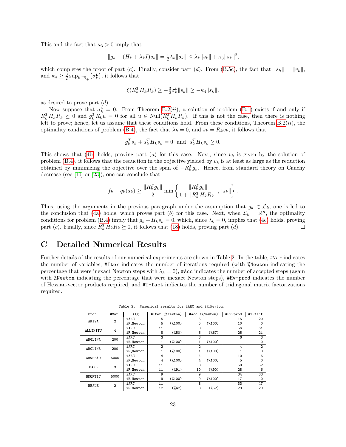This and the fact that  $\kappa_3 > 0$  imply that

$$
||g_k + (H_k + \lambda_k I)s_k|| = \frac{1}{2}\lambda_k ||s_k|| \leq \lambda_k ||s_k|| + \kappa_3 ||s_k||^2,
$$

which completes the proof of part (c). Finally, consider part (d). From [\(B.5c\)](#page-20-11), the fact that  $||s_k|| = ||v_k||$ , and  $\kappa_4 \geq \frac{3}{2} \sup_{k \in \mathbb{N}_+} {\{\sigma_k^{\mathsf{L}}\}}$ , it follows that

$$
\xi(R_k^T H_k R_k) \geq -\frac{3}{2}\sigma_k^L \|s_k\| \geq -\kappa_4 \|s_k\|,
$$

as desired to prove part  $(d)$ .

Now suppose that  $\sigma_k^L = 0$ . From Theorem [B.2\(](#page-20-3)*ii*), a solution of problem [\(B.1\)](#page-20-5) exists if and only if  $R_k^TH_kR_k \succeq 0$  and  $g_k^TR_ku = 0$  for all  $u \in Null(R_k^TH_kR_k)$ . If this is not the case, then there is nothing left to prove; hence, let us assume that these conditions hold. From these conditions, Theorem  $B.2(ii)$ , the optimality conditions of problem [\(B.4\)](#page-20-12), the fact that  $\lambda_k = 0$ , and  $s_k = R_k v_k$ , it follows that

$$
g_k^T s_k + s_k^T H_k s_k = 0 \text{ and } s_k^T H_k s_k \ge 0.
$$

This shows that [\(4b\)](#page-3-5) holds, proving part (a) for this case. Next, since  $v_k$  is given by the solution of problem [\(B.4\)](#page-20-12), it follows that the reduction in the objective yielded by  $v_k$  is at least as large as the reduction obtained by minimizing the objective over the span of  $-R_k^T g_k$ . Hence, from standard theory on Cauchy decrease (see [\[10\]](#page-27-2) or [\[23\]](#page-28-1)), one can conclude that

$$
f_k - q_k(s_k) \ge \frac{\|R_k^T g_k\|}{2} \min \left\{ \frac{\|R_k^T g_k\|}{1 + \|R_k^T H_k R_k\|}, \|s_k\|\right\}.
$$

Thus, using the arguments in the previous paragraph under the assumption that  $g_k \in \mathcal{L}_k$ , one is led to the conclusion that [\(4a\)](#page-3-4) holds, which proves part (b) for this case. Next, when  $\mathcal{L}_k = \mathbb{R}^n$ , the optimality conditions for problem [\(B.4\)](#page-20-12) imply that  $g_k + H_k s_k = 0$ , which, since  $\lambda_k = 0$ , implies that [\(4c\)](#page-3-3) holds, proving part (c). Finally, since  $R_k^T H_k R_k \succeq 0$ , it follows that [\(18\)](#page-12-2) holds, proving part (d).  $\Box$ 

## <span id="page-22-0"></span>C Detailed Numerical Results

Further details of the results of our numerical experiments are shown in Table [2.](#page-22-1) In the table, #Var indicates the number of variables, #Iter indicates the number of iterations required (with %Newton indicating the percentage that were inexact Newton steps with  $\lambda_k = 0$ ), #Acc indicates the number of accepted steps (again with *X*Newton indicating the percentage that were inexact Newton steps), #Hv-prod indicates the number of Hessian-vector products required, and #T-fact indicates the number of tridiagonal matrix factorizations required.

<span id="page-22-1"></span>Prob #Var Alg #Iter (%Newton) #Acc (%Newton) #Hv-prod #T-fact<br>ANTUA 20 AKIVA 2 iARC | 5 | 5 | 15 | 20 iR Newton 5 (%100) 5 (%100) 10 0<br>iARC 11 8 56 61 ALLINITU 4 iARC | 11 | 8 | 56 | 61 iR Newton 8 (%50) 6 (%67) 25 21  $\texttt{ARGLINA}$  200 iARC 3 3 3 6 3 iR\_Newton 1 (%100) 1 (%100) 1 0<br>
iARC 2 2 4 2<br>
iR\_Newton 1 (%100) 1 (%100) 1 0 ARGLINB 200 iARC 2 2 4 2<br>1  $(0.00)$  1  $(0.00)$  2 4 2 iR Newton 1 (%100) 1 (%100) 1 ARWHEAD 5000 iARC 4  $(100)$  4  $(110)$  5 iR Newton 4 (%100) 4 (%100) 5 0<br>iARC 11 8 50 52 BARD 3 iARC | 11 | 8 | 50 | 52 iR\_Newton 11 (%91) 10 (%90) 28 6<br>iARC 9 9 34 33  $\texttt{BDQRTIC}$  5000 iARC 9 9 9 34 33 iR Newton 9 (%100) 9 (%100) 17 0 BEALE 2 iARC | 11 | 8 | 33 | 47 iR\_Newton 12  $(\frac{1}{2})$  8  $(\frac{1}{2})$  29 29

Table 2: Numerical results for iARC and iR Newton.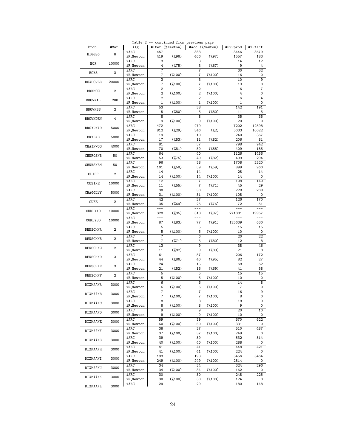| Prob            | #Var           | Alg               |                         | #Iter (%Newton)    | #Acc (%Newton)                   |                    | #Hv-prod     | #T-fact             |
|-----------------|----------------|-------------------|-------------------------|--------------------|----------------------------------|--------------------|--------------|---------------------|
| BIGGS6          | 6              | iARC<br>iR_Newton | 457<br>419              | $(*96)$            | 383<br>406                       | $(\frac{9}{2}97)$  | 3446<br>1557 | 3679<br>183         |
| <b>BOX</b>      | 10000          | iARC<br>iR_Newton | 3<br>4                  | $(\frac{9}{6}75)$  | 3<br>3                           | $(\frac{6}{67})$   | 14<br>9      | 12<br>4             |
| BOX3            | 3              | iARC<br>iR_Newton | $\overline{7}$<br>7     | $(\frac{9}{6}100)$ | $\overline{7}$<br>$\overline{7}$ | $(\frac{9}{6}100)$ | 30<br>16     | 32<br>0             |
| <b>BOXPOWER</b> | 20000          | iARC              | $\overline{\mathbf{3}}$ |                    | 3                                |                    | 10           | $\overline{9}$      |
| <b>BRKMCC</b>   | 2              | iR_Newton<br>iARC | 7<br>$\overline{2}$     | $(\frac{9}{6}100)$ | 7<br>$\overline{2}$              | $(\frac{9}{6}100)$ | 13<br>6      | 0<br>$\overline{7}$ |
|                 |                | iR_Newton<br>iARC | 2<br>$\overline{2}$     | $(\frac{9}{6}100)$ | 2<br>$\overline{2}$              | $(\frac{9}{6}100)$ | 4<br>6       | 0<br>4              |
| BROWNAL         | 200            | iR_Newton<br>iARC | $\mathbf{1}$<br>53      | $(\frac{9}{6}100)$ | $\mathbf{1}$<br>38               | $(*100)$           | 1<br>142     | 0<br>191            |
| <b>BROWNBS</b>  | $\overline{2}$ | iR_Newton         | 5                       | (% 80)             | 5                                | $(\frac{9}{6}80)$  | 11           | 5                   |
| <b>BROWNDEN</b> | 4              | iARC<br>iR_Newton | $\overline{8}$<br>9     | $(\frac{9}{6}100)$ | $\overline{8}$<br>9              | $(\frac{9}{6}100)$ | 35<br>20     | 35<br>0             |
| BROYDN7D        | 5000           | iARC<br>iR_Newton | 472<br>812              | $(\frac{9}{29})$   | 279<br>346                       | $(\frac{9}{2})$    | 7202<br>5033 | 12598<br>10022      |
| <b>BRYBND</b>   | 5000           | iARC<br>iR_Newton | 19<br>17                | (%3)               | 10<br>11                         | $(\frac{9}{6}82)$  | 240<br>206   | 367<br>81           |
| CHAINWOO        | 4000           | iARC              | 81                      |                    | 57                               |                    | 798          | 942                 |
| CHNROSNB        | 50             | iR_Newton<br>iARC | 70<br>64                | $(\frac{9}{6}81)$  | 59<br>40                         | (% 88)             | 409<br>1126  | 185<br>1456         |
|                 |                | iR_Newton<br>iARC | 53<br>96                | $(\frac{9}{6}75)$  | 40<br>58                         | $(\frac{6}{6}82)$  | 499<br>1708  | 294<br>2320         |
| CHNRSNBM        | 50             | iR_Newton<br>iARC | 101<br>14               | $(\frac{9}{6}58)$  | 59<br>14                         | $(\frac{6}{59})$   | 899<br>28    | 960<br>14           |
| CLIFF           | $\overline{2}$ | iR_Newton         | 14                      | $(\frac{9}{6}100)$ | 14                               | $(\frac{9}{6}100)$ | 14           | 0                   |
| COSINE          | 10000          | iARC<br>iR_Newton | 12<br>11                | $(\frac{6}{55})$   | 7<br>7                           | $(\frac{9}{2}71)$  | 108<br>45    | 140<br>29           |
| CRAGGLVY        | 5000           | iARC<br>iR_Newton | 30<br>31                | $(\frac{9}{6}100)$ | 30<br>31                         | $(\frac{9}{6}100)$ | 228<br>108   | 208<br>0            |
| <b>CUBE</b>     | 2              | iARC<br>iR_Newton | 42<br>35                | $(\frac{6}{69})$   | 27<br>25                         | $(\frac{9}{6}76)$  | 126<br>72    | 170<br>51           |
| CURLY10         | 10000          | iARC              | ---                     |                    | ---                              |                    | $---$        |                     |
| CURLY30         | 10000          | iR_Newton<br>iARC | 328                     | $(\frac{95}{95})$  | 318                              | $(\frac{97}{6})$   | 271881       | 19957               |
|                 |                | iR_Newton<br>iARC | 87<br>5                 | (% 83)             | 77<br>5                          | $(\frac{9}{91})$   | 125639<br>15 | 630<br>15           |
| DENSCHNA        | 2              | iR_Newton<br>iARC | 5<br>$\overline{7}$     | $(\frac{9}{6}100)$ | 5<br>6                           | $(\frac{9}{6}100)$ | 10<br>20     | 0<br>22             |
| DENSCHNB        | $\mathbf{2}$   | iR_Newton         | $\overline{7}$          | $(\frac{9}{271})$  | 5<br>$\overline{9}$              | (% 80)             | 12           | 8                   |
| DENSCHNC        | 2              | iARC<br>iR_Newton | 13<br>11                | $(\frac{9}{6}82)$  | 9                                | $(\frac{9}{6}89)$  | 38<br>21     | 46<br>8             |
| DENSCHND        | 3              | iARC<br>iR_Newton | 61<br>44                | $(%$ (%86)         | 57<br>40                         | $(\frac{95}{95})$  | 206<br>82    | 172<br>27           |
| DENSCHNE        | 3              | iARC<br>iR_Newton | 24<br>21                | $(\frac{6}{52})$   | 15<br>16                         | $(\frac{9}{69})$   | 68<br>41     | 62<br>58            |
| DENSCHNF        | 2              | iARC<br>iR_Newton | 5<br>5                  | $(\frac{9}{6}100)$ | 5<br>5                           | $(\frac{9}{6}100)$ | 15<br>10     | 15<br>0             |
| DIXMAANA        | 3000           | iARC              | 6                       |                    | 6                                |                    | 14           | 8                   |
| DIXMAANB        | 3000           | iR_Newton<br>iARC | 6<br>$\overline{7}$     | $(\frac{9}{2}100)$ | 6<br>7                           | $(\frac{9}{6}100)$ | 7<br>16      | 0<br>$\overline{9}$ |
|                 |                | iR_Newton<br>iARC | $\overline{7}$<br>8     | $(\frac{9}{100})$  | 7<br>8                           | $(\frac{9}{6}100)$ | 8<br>18      | 0<br>9              |
| DIXMAANC        | 3000           | iR_Newton<br>iARC | 8<br>9                  | $(\frac{9}{6}100)$ | 8<br>9                           | $(\frac{9}{6}100)$ | 9<br>20      | 0<br>10             |
| DIXMAAND        | 3000           | iR_Newton         | 9                       | $(\frac{9}{100})$  | 9                                | $(\frac{9}{6}100)$ | 10           | 0                   |
| DIXMAANE        | 3000           | iARC<br>iR_Newton | 59<br>60                | $(\%100)$          | 59<br>60                         | $(\%100)$          | 670<br>331   | 622<br>0            |
| DIXMAANF        | 3000           | iARC<br>iR_Newton | 38<br>37                | $(\frac{9}{100})$  | 37<br>37                         | $(\%100)$          | 510<br>249   | 487<br>0            |
| DIXMAANG        | 3000           | iARC<br>iR_Newton | 39<br>40                | $(\frac{9}{6}100)$ | 39<br>40                         | $(\frac{9}{6}100)$ | 532<br>288   | 514<br>0            |
| DIXMAANH        | 3000           | iARC              | 41                      |                    | 41                               |                    | 448          | 421                 |
| DIXMAANI        | 3000           | iR_Newton<br>iARC | 41<br>193               | $(\%100)$          | 41<br>193                        | $(\frac{9}{100})$  | 224<br>3456  | 0<br>3464           |
|                 |                | iR_Newton<br>iARC | 249<br>34               | $(\%100)$          | 249<br>34                        | $(\frac{9}{100})$  | 2814<br>324  | 0<br>296            |
| DIXMAANJ        | 3000           | iR_Newton<br>iARC | 34<br>30                | $(\frac{9}{6}100)$ | 34<br>30                         | $(\%100)$          | 162<br>248   | 0<br>225            |
| DIXMAANK        | 3000           | iR_Newton         | 30                      | $(\%100)$          | 30                               | $(\%100)$          | 124          | 0                   |
| DIXMAANL        | 3000           | iARC              | 29                      |                    | 29                               |                    | 180          | 148                 |

Table 2 -- continued from previous page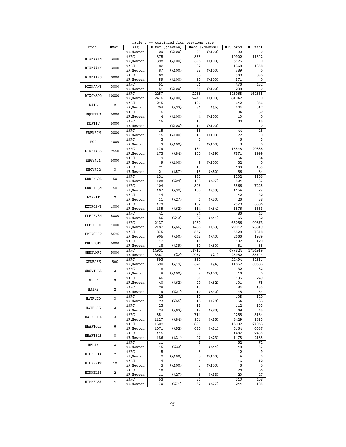| Prob            | #Var           |           |                | #Iter (%Newton)    | #Acc (%Newton) |                    | #Hv-prod | #T-fact |
|-----------------|----------------|-----------|----------------|--------------------|----------------|--------------------|----------|---------|
|                 |                | Alg       |                |                    |                |                    |          |         |
|                 |                | iR_Newton | 29             | $(\frac{9}{6}100)$ | 29             | $(*100)$           | 90       | 0       |
|                 |                | iARC      | 375            |                    | 375            |                    | 10902    | 11542   |
| DIXMAANM        | 3000           |           |                |                    |                |                    |          |         |
|                 |                | iR_Newton | 398            | $(\frac{9}{6}100)$ | 398            | $(\frac{9}{6}100)$ | 6126     | 0       |
|                 |                | iARC      | 82             |                    | 82             |                    | 1368     | 1358    |
| DIXMAANN        | 3000           | iR_Newton | 87             | $(\frac{9}{6}100)$ | 87             | $(\frac{9}{6}100)$ | 789      | 0       |
|                 |                |           |                |                    |                |                    |          |         |
| DIXMAANO        | 3000           | iARC      | 63             |                    | 63             |                    | 908      | 893     |
|                 |                | iR_Newton | 59             | $(\frac{9}{6}100)$ | 59             | $(\frac{9}{6}100)$ | 371      | 0       |
|                 |                |           |                |                    |                |                    |          |         |
| DIXMAANP        | 3000           | iARC      | 51             |                    | 51             |                    | 476      | 432     |
|                 |                | iR_Newton | 51             | $(\frac{9}{6}100)$ | 51             | $(\frac{9}{6}100)$ | 238      | 0       |
|                 |                | iARC      | 2257           |                    | 2256           |                    | 143968   | 164858  |
| DIXON3DQ        | 10000          |           |                |                    |                |                    |          |         |
|                 |                | iR_Newton | 2476           | $(\frac{9}{6}100)$ | 2476           | $(\frac{9}{6}100)$ | 81042    | 0       |
|                 |                | iARC      | 215            |                    | 120            |                    | 642      | 866     |
| DJTL            | $\overline{2}$ |           |                |                    |                |                    |          |         |
|                 |                | iR_Newton | 204            | $(\frac{9}{2}32)$  | 81             | $(\%5)$            | 404      | 512     |
|                 |                | iARC      | 6              |                    | 6              |                    | 34       | 32      |
| DQDRTIC         | 5000           | iR_Newton | 4              | $(*100)$           | 4              | $(\frac{9}{6}100)$ | 10       | 0       |
|                 |                |           |                |                    |                |                    |          |         |
| DQRTIC          | 5000           | iARC      | 15             |                    | 15             |                    | 30       | 15      |
|                 |                | iR_Newton | 11             | $(\frac{9}{6}100)$ | 11             | $(\frac{9}{6}100)$ | 11       | 0       |
|                 |                |           |                |                    |                |                    |          |         |
| <b>EDENSCH</b>  | 2000           | iARC      | 15             |                    | 15             |                    | 44       | 25      |
|                 |                | iR_Newton | 15             | $(\frac{9}{6}100)$ | 15             | $(\frac{9}{6}100)$ | 22       | 0       |
|                 |                |           |                |                    | 3              |                    |          |         |
| EG <sub>2</sub> | 1000           | iARC      | 3              |                    |                |                    | 6        | 3       |
|                 |                | iR_Newton | 3              | $(\frac{9}{6}100)$ | 3              | $(\frac{9}{6}100)$ | 3        | 0       |
|                 |                | iARC      | 179            |                    | 134            |                    | 15548    | 20388   |
| EIGENALS        | 2550           |           |                |                    |                |                    |          |         |
|                 |                | iR_Newton | 173            | $(\frac{9}{6}84)$  | 150            | $(*89)$            | 7871     | 1999    |
|                 |                | iARC      | $\overline{9}$ |                    | $\overline{9}$ |                    | 64       | 54      |
| ENGVAL1         | 5000           |           |                |                    |                |                    |          |         |
|                 |                | iR_Newton | 9              | $(\frac{9}{6}100)$ | 9              | $(\frac{9}{6}100)$ | 32       | 0       |
|                 |                | iARC      | 21             |                    | 15             |                    | 100      | 139     |
| ENGVAL2         | 3              |           |                |                    |                |                    |          |         |
|                 |                | iR_Newton | 21             | $(\frac{6}{57})$   | 15             | $(\frac{9}{6}80)$  | 56       | 34      |
|                 |                | iARC      | 131            |                    | 122            |                    | 1202     | 1106    |
| ERRINROS        | 50             | iR_Newton | 108            | $(\frac{9}{94})$   | 103            | $(\frac{9}{2}97)$  | 504      | 37      |
|                 |                |           |                |                    |                |                    |          |         |
|                 |                | iARC      | 404            |                    | 396            |                    | 6566     | 7225    |
| ERRINRSM        | 50             | iR_Newton | 167            | (%98)              | 163            | $(*99)$            | 1154     | 27      |
|                 |                |           |                |                    |                |                    |          |         |
|                 | $\overline{2}$ | iARC      | 14             |                    | 9              |                    | 42       | 62      |
| <b>EXPFIT</b>   |                | iR_Newton | 11             | $(\frac{9}{27})$   | 6              | (% 50)             | 26       | 38      |
|                 |                |           |                |                    |                |                    |          |         |
| <b>EXTROSNB</b> | 1000           | iARC      | 179            |                    | 107            |                    | 2978     | 3586    |
|                 |                | iR_Newton | 185            | $(\frac{6}{62})$   | 114            | $(\frac{6}{64})$   | 1576     | 1553    |
|                 |                |           |                |                    |                |                    |          |         |
| FLETBV3M        | 5000           | iARC      | 41             |                    | 34             |                    | 86       | 43      |
|                 |                | iR_Newton | 56             | $(*43)$            | 32             | $(\frac{9}{41})$   | 65       | 32      |
|                 |                | iARC      | 2437           |                    | 1450           |                    | 66056    | 90373   |
| <b>FLETCHCR</b> | 1000           |           |                |                    |                |                    |          |         |
|                 |                | iR_Newton | 2187           | (% 66)             | 1438           | $(*69)$            | 29012    | 23819   |
|                 |                | iARC      | 875            |                    | 567            |                    | 6528     | 7378    |
| FMINSRF2        | 5625           |           |                |                    |                |                    |          |         |
|                 |                | iR_Newton | 905            | (% 50)             | 448            | $(\frac{9}{6}40)$  | 2666     | 1989    |
|                 |                | iARC      | 17             |                    | 11             |                    | 102      | 120     |
| FREUROTH        | 5000           |           |                |                    |                |                    |          |         |
|                 |                | iR_Newton | 18             | $(\frac{9}{6}39)$  | 10             | (% 60)             | 51       | 35      |
|                 |                | iARC      | 14931          |                    | 11710          |                    | 477824   | 1724919 |
| <b>GENHUMPS</b> | 5000           |           |                |                    |                |                    |          |         |
|                 |                | iR_Newton | 3567           | $(\frac{9}{2})$    | 2077           | $(\%1)$            | 25952    | 85744   |
|                 |                | iARC      | 593            |                    | 350            |                    | 24494    | 54811   |
| GENROSE         | 500            | iR_Newton | 690            | $(\frac{9}{6}19)$  | 341            | $(\frac{9}{4})$    | 11862    | 30583   |
|                 |                |           |                |                    |                |                    |          |         |
| GROWTHLS        | 3              | iARC      | 8              |                    | 8              |                    | 32       | 32      |
|                 |                | iR_Newton | 8              | $(\frac{9}{6}100)$ | 8              | $(\frac{9}{6}100)$ | 16       | 0       |
|                 |                |           |                |                    |                |                    |          |         |
| <b>GULF</b>     | 3              | iARC      | 46             |                    | 31             |                    | 196      | 249     |
|                 |                | iR_Newton | 40             | $(\frac{9}{62})$   | 29             | $(\frac{6}{62})$   | 101      | 78      |
|                 |                | iARC      | 28             |                    | 15             |                    | 84       | 133     |
| HAIRY           | $\mathbf 2$    |           |                |                    |                |                    |          |         |
|                 |                | iR_Newton | 19             | $(\frac{9}{21})$   | 10             | $(\frac{9}{6}40)$  | 45       | 64      |
|                 |                | iARC      | 23             |                    | 19             |                    | 108      | 140     |
| HATFLDD         | 3              |           |                |                    |                |                    |          |         |
|                 |                | iR_Newton | 23             | (% 65)             | 18             | $(\frac{9}{6}78)$  | 64       | 33      |
|                 |                | iARC      | 23             |                    | 18             |                    | 112      | 153     |
| HATFLDE         | 3              | iR_Newton | 24             | $(\frac{6}{62})$   | 18             | $(\frac{6}{6}83)$  | 69       | 45      |
|                 |                |           |                |                    |                |                    |          |         |
| HATFLDFL        | 3              | iARC      | 851            |                    | 711            |                    | 4255     | 5134    |
|                 |                | iR_Newton | 1127           | $(\frac{6}{6}84)$  | 961            | $(\frac{6}{6}85)$  | 3429     | 1313    |
|                 |                |           |                |                    |                |                    |          |         |
| HEART6LS        | 6              | iARC      | 1502           |                    | 895            |                    | 15002    | 27063   |
|                 |                | iR_Newton | 1071           | $(\frac{6}{52})$   | 620            | $(\frac{6}{51})$   | 5164     | 6637    |
|                 |                |           |                |                    |                |                    |          |         |
| HEART8LS        | 8              | iARC      | 115            |                    | 69             |                    | 1407     | 2400    |
|                 |                | iR_Newton | 186            | $(\frac{2}{31})$   | 97             | $(\frac{9}{23})$   | 1178     | 2185    |
|                 |                | iARC      | 11             |                    | 7              |                    | 52       | 72      |
| HELIX           | 3              |           |                |                    |                |                    |          |         |
|                 |                | iR_Newton | 15             | $(\frac{9}{2}33)$  | 9              | $(\frac{9}{44})$   | 48       | 57      |
|                 |                | iARC      | 5              |                    | 5              |                    | 12       | 9       |
| HILBERTA        | 2              |           |                |                    |                |                    |          |         |
|                 |                | iR_Newton | 3              | $(\frac{9}{6}100)$ | 3              | $(\frac{9}{6}100)$ | 4        | 0       |
|                 |                | iARC      | 4              |                    | 4              |                    | 16       | 12      |
| HILBERTB        | 10             | iR_Newton | 3              | $(\frac{9}{6}100)$ | 3              | $(\frac{9}{6}100)$ | 6        | 0       |
|                 |                |           |                |                    |                |                    |          |         |
|                 |                | iARC      | 10             |                    | 6              |                    | 26       | 36      |
| HIMMELBB        | 2              | iR_Newton | 11             | $(\frac{27}{27})$  | 6              | $(\frac{9}{33})$   | 20       | 27      |
|                 |                |           |                |                    |                |                    |          |         |
| HIMMELBF        | 4              | iARC      | 53             |                    | 36             |                    | 310      | 408     |
|                 |                | iR_Newton | 70             | $(\frac{6}{271})$  | 62             | $(\frac{9}{6}77)$  | 244      | 185     |

Table 2 -- continued from previous page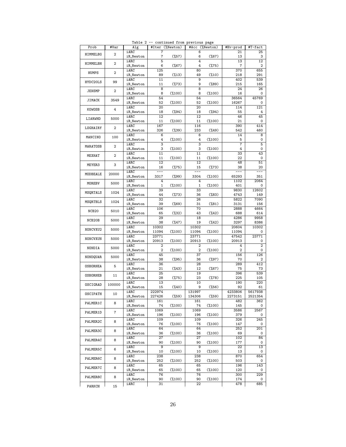| Prob              | #Var           | Alg               |                | #Iter (%Newton)    | #Acc (%Newton)      |                    | #Hv-prod       | #T-fact             |
|-------------------|----------------|-------------------|----------------|--------------------|---------------------|--------------------|----------------|---------------------|
| HIMMELBG          | $\overline{2}$ | iARC<br>iR_Newton | 7<br>7         | $(\frac{6}{57})$   | 6<br>6              | $(\frac{9}{67})$   | 21<br>13       | 25<br>3             |
| HIMMELBH          | $\mathbf 2$    | iARC<br>iR_Newton | 5<br>6         | $(\frac{9}{67})$   | $\overline{4}$<br>4 | $(\frac{9}{6}75)$  | 13<br>7        | 12<br>2             |
| HUMPS             | $\overline{2}$ | iARC              | 125<br>89      | $(\frac{9}{13})$   | 80<br>49            | $(\frac{9}{6}10)$  | 370<br>218     | 655<br>291          |
| HYDC20LS          | 99             | iR_Newton<br>iARC | 11             |                    | 9                   |                    | 402            | 539                 |
| <b>JENSMP</b>     | $\mathbf 2$    | iR_Newton<br>iARC | 11<br>8        | $(\frac{9}{6}73)$  | 9<br>8              | $(\frac{9}{6}89)$  | 215<br>24      | 165<br>26           |
|                   |                | iR_Newton<br>iARC | 8<br>54        | $(\frac{9}{6}100)$ | 8<br>54             | $(\frac{9}{6}100)$ | 16<br>36564    | 0<br>45769          |
| JIMACK            | 3549           | iR_Newton         | 52<br>20       | $(\frac{9}{6}100)$ | 52<br>20            | $(\frac{9}{6}100)$ | 16267          | 0<br>121            |
| KOWOSB            | 4              | iARC<br>iR_Newton | 18             | $(\frac{9}{94})$   | 18                  | $(\frac{9}{94})$   | 114<br>55      | 4                   |
| LIARWHD           | 5000           | iARC<br>iR_Newton | 12<br>11       | $(\frac{9}{6}100)$ | 12<br>11            | $(\frac{9}{6}100)$ | 46<br>21       | 45<br>0             |
| LOGHAIRY          | $\mathbf{2}$   | iARC<br>iR_Newton | 167<br>326     | $(\frac{9}{2}39)$  | 116<br>233          | $(*49)$            | 390<br>542     | 414<br>460          |
| MANCINO           | 100            | iARC<br>iR_Newton | 6<br>4         | $(\frac{9}{6}100)$ | 6<br>4              | $(\frac{9}{6}100)$ | 14<br>5        | 8<br>0              |
| MARATOSB          | $\mathbf{2}$   | iARC<br>iR_Newton | 3<br>3         | $(\frac{9}{6}100)$ | 3<br>3              | $(\frac{9}{6}100)$ | 7<br>4         | $\overline{5}$<br>0 |
| MEXHAT            | $\overline{2}$ | iARC              | 11             |                    | 11                  |                    | 33             | 43                  |
|                   |                | iR_Newton<br>iARC | 11<br>12       | $(\frac{9}{6}100)$ | 11<br>12            | $(\frac{9}{6}100)$ | 22<br>48       | 0<br>51             |
| MEYER3            | 3              | iR_Newton<br>iARC | 16<br>---      | $(\frac{9}{6}75)$  | 15<br>$---$         | $(\frac{9}{6}73)$  | 38             | 20                  |
| MODBEALE          | 20000          | iR_Newton         | 3317           | $(\frac{9}{99})$   | 3304                | $(\frac{9}{6}100)$ | 65293          | 351                 |
| MOREBV            | 5000           | iARC<br>iR_Newton | 4<br>1         | $(\frac{9}{6}100)$ | 4<br>1              | $(\frac{9}{6}100)$ | 1102<br>401    | 2064<br>0           |
| MSQRTALS          | 1024           | iARC<br>iR_Newton | 39<br>44       | $(\frac{9}{6}73)$  | 33<br>36            | $(\frac{9}{6}83)$  | 9830<br>4743   | 12602<br>149        |
| MSQRTBLS          | 1024           | iARC<br>iR_Newton | 32<br>39       | $(*69)$            | 26<br>31            | $(\frac{9}{6}81)$  | 5822<br>3131   | 7090<br>156         |
| NCB <sub>20</sub> | 5010           | iARC<br>iR_Newton | 106<br>65      |                    | 70<br>43            |                    | 2888<br>688    | 4664<br>614         |
| NCB20B            | 5000           | iARC              | 29             | $(\frac{2}{32})$   | 18                  | $(\frac{9}{42})$   | 4286           | 9958                |
| NONCVXU2          | 5000           | iR_Newton<br>iARC | 38<br>10302    | $(\frac{47}{6})$   | 19<br>10302         | $(\frac{9}{42})$   | 3297<br>20604  | 8386<br>10302       |
|                   |                | iR_Newton<br>iARC | 11094<br>23771 | $(\frac{9}{100})$  | 11094<br>23771      | $(\frac{9}{6}100)$ | 11094<br>47542 | 0<br>23771          |
| NONCVXUN          | 5000           | iR_Newton<br>iARC | 20913<br>2     | $(\frac{9}{6}100)$ | 20913<br>2          | $(\frac{9}{6}100)$ | 20913<br>4     | 0<br>$\overline{2}$ |
| NONDIA            | 5000           | iR_Newton         | 2              | $(\frac{9}{6}100)$ | 2                   | $(\frac{9}{6}100)$ | 2              | 0                   |
| NONDQUAR          | 5000           | iARC<br>iR_Newton | 45<br>38       | $(\frac{95}{95})$  | 37<br>36            | (%97)              | 156<br>70      | 126<br>2            |
| <b>OSBORNEA</b>   | 5              | iARC<br>iR_Newton | 36<br>21       | $(\frac{9}{43})$   | 28<br>12            | $(\frac{6}{67})$   | 289<br>75      | 412<br>73           |
| <b>OSBORNEB</b>   | 11             | iARC<br>iR_Newton | 25<br>28       | $(\frac{9}{6}75)$  | 19<br>23            | $(\frac{9}{6}78)$  | 396<br>225     | 539<br>105          |
| OSCIGRAD          | 100000         | iARC              | 13             |                    | 10                  |                    | 190            | 220                 |
| OSCIPATH          | 10             | iR_Newton<br>iARC | 15<br>222974   | $(\frac{9}{40})$   | 9<br>131997         | $(\frac{6}{56})$   | 92<br>4233806  | 61<br>5617938       |
| PALMER1C          | 8              | iR_Newton<br>iARC | 227426<br>161  | $(*59)$            | 134306<br>161       | $(*59)$            | 2273151<br>482 | 2521354<br>362      |
|                   |                | iR_Newton<br>iARC | 74<br>1069     | $(\frac{9}{100})$  | 74<br>1069          | $(\frac{9}{6}100)$ | 145<br>3586    | 0<br>2567           |
| PALMER1D          | 7              | iR_Newton<br>iARC | 196<br>109     | $(\frac{9}{100})$  | 196<br>109          | $(\frac{9}{6}100)$ | 379<br>326     | 0<br>245            |
| PALMER2C          | 8              | iR_Newton         | 76             | $(\%100)$          | 76                  | $(\frac{9}{6}100)$ | 147            | 0                   |
| PALMER3C          | 8              | iARC<br>iR_Newton | 64<br>36       | $(\frac{9}{6}100)$ | 64<br>36            | $(\frac{9}{6}100)$ | 252<br>69      | 201<br>0            |
| PALMER4C          | 8              | iARC<br>iR_Newton | 27<br>90       | $(\frac{9}{6}100)$ | 27<br>90            | $(\frac{9}{6}100)$ | 102<br>177     | 84<br>0             |
| PALMER5C          | 6              | iARC<br>iR_Newton | 9<br>10        | $(\%100)$          | 9<br>10             | $(\frac{9}{6}100)$ | 22<br>13       | 13<br>0             |
| PALMER6C          | 8              | iARC              | 238            |                    | 238                 |                    | 870            | 654                 |
| PALMER7C          | 8              | iR_Newton<br>iARC | 252<br>65      | $(\frac{9}{6}100)$ | 252<br>65           | $(\frac{9}{6}100)$ | 503<br>196     | 0<br>143            |
|                   | 8              | iR_Newton<br>iARC | 65<br>76       | $(\frac{9}{6}100)$ | 65<br>76            | $(\frac{9}{6}100)$ | 120<br>300     | 0<br>229            |
| PALMER8C          |                | iR_Newton<br>iARC | 90<br>31       | $(\frac{9}{100})$  | 90<br>22            | $(\frac{9}{6}100)$ | 174<br>478     | 0<br>685            |
| PARKCH            | 15             |                   |                |                    |                     |                    |                |                     |

Table 2 -- continued from previous page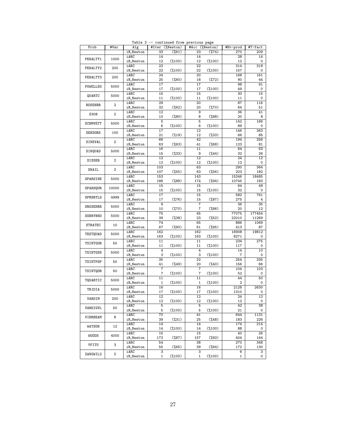| Prob            | #Var           | Alg       |                 | #Iter (%Newton)    | #Acc (%Newton) |                    | #Hv-prod | #T-fact         |
|-----------------|----------------|-----------|-----------------|--------------------|----------------|--------------------|----------|-----------------|
|                 |                | iR_Newton | 33              | $(\frac{6}{61})$   | 23             | $(\frac{9}{6}74)$  | 270      | 209             |
| PENALTY1        | 1000           | iARC      | 14              |                    | 14             |                    | 28       | 14              |
|                 |                | iR_Newton | 12              | $(\frac{9}{6}100)$ | 12             | $(\frac{9}{6}100)$ | 12       | 0               |
|                 |                | iARC      | 22              |                    | 22             |                    | 314      | 319             |
| PENALTY2        | 200            | iR_Newton | 22              | $(\frac{9}{100})$  | 22             | $(\frac{9}{6}100)$ | 157      | 0               |
|                 |                | iARC      | 24              |                    | 20             |                    | 168      | 161             |
| PENALTY3        | 200            | iR_Newton | 25              | $(\%60)$           | 18             | $(\frac{9}{272})$  | 90       | 44              |
|                 |                | iARC      | 17              |                    | 17             |                    | 98       | 91              |
| POWELLSG        | 5000           | iR_Newton | 17              | $(\frac{9}{6}100)$ | 17             | $(\frac{9}{6}100)$ | 49       | 0               |
|                 |                | iARC      | 15              |                    | 15             |                    | 30       | 15              |
| QUARTC          | 5000           | iR_Newton | 11              | $(\frac{9}{6}100)$ | 11             | $(\frac{9}{6}100)$ | 11       | 0               |
|                 |                | iARC      | 29              |                    | 20             |                    | 87       | 116             |
| <b>ROSENBR</b>  | 2              | iR_Newton | 32              | $(\frac{6}{62})$   | 20             | $(\frac{9}{6}70)$  | 64       | 51              |
|                 |                | iARC      | 12              |                    | 9              |                    | 36       | 41              |
| S308            | $\overline{2}$ | iR_Newton | 10              | (% 80)             | 8              | $(% )^{2}(88)$     | 20       | 8               |
|                 |                | iARC      | 5               |                    | 5              |                    | 142      | 166             |
| <b>SCHMVETT</b> | 5000           | iR_Newton | 6               | $(\frac{9}{6}100)$ | 6              |                    | 89       | 0               |
|                 |                | iARC      | 17              |                    | 12             | $(\frac{9}{6}100)$ | 146      | 263             |
| SENSORS         | 100            |           |                 |                    |                |                    |          |                 |
|                 |                | iR_Newton | 21              | $(\frac{9}{19})$   | 12             | $(\frac{9}{33})$   | 66       | 85              |
| SINEVAL         | $\mathbf 2$    | iARC      | 66              |                    | 42             |                    | 194      | 256             |
|                 |                | iR_Newton | 63              | (% 63)             | 41             | (% 68)             | 123      | 81              |
| SINQUAD         | 5000           | iARC      | 16              |                    | 11             |                    | 64       | 63              |
|                 |                | iR_Newton | 15              | $(\frac{9}{6}33)$  | 9              | $(\frac{9}{44})$   | 32       | 26              |
| SISSER          | $\mathbf{2}$   | iARC      | 12              |                    | 12             |                    | 24       | 12              |
|                 |                | iR_Newton | 12              | $(\frac{9}{6}100)$ | 12             | $(\frac{9}{6}100)$ | 12       | 0               |
| SNAIL           | $\overline{2}$ | iARC      | 103             |                    | 63             |                    | 290      | 364             |
|                 |                | iR_Newton | 107             | $(\frac{6}{55})$   | 63             | $(\frac{6}{6}56)$  | 203      | 182             |
|                 |                | iARC      | 153             |                    | 143            |                    | 15246    | 18485           |
| SPARSINE        | 5000           | iR_Newton | 188             | $(% )^{2}(88)$     | 174            | $(\frac{9}{94})$   | 10745    | 183             |
|                 |                | iARC      | 15              |                    | 15             |                    | 64       | 49              |
| SPARSQUR        | 10000          | iR_Newton | 15              | $(\frac{9}{6}100)$ | 15             | $(\frac{9}{6}100)$ | 32       | 0               |
|                 |                | iARC      | 17              |                    | 15             |                    | 582      | 761             |
| SPMSRTLS        | 4999           | iR_Newton | 17              | $(*76)$            | 15             | $(\frac{9}{6}87)$  | 275      | 4               |
|                 |                | iARC      | 9               |                    | 7              |                    | 36       | 35              |
| SROSENBR        | 5000           | iR_Newton | 10              | $(\frac{9}{6}70)$  | 7              | $(\frac{6}{6}86)$  | 20       | 12              |
|                 |                | iARC      | 75              |                    | 45             |                    | 77075    | 177454          |
| SSBRYBND        | 5000           | iR_Newton | 39              | $(\frac{9}{6}38)$  | 23             | $(\frac{6}{52})$   | 22010    | 11269           |
|                 |                | iARC      | $\overline{74}$ |                    | 65             |                    | 886      | 1069            |
| <b>STRATEC</b>  | 10             | iR_Newton | 67              | $(\frac{9}{90})$   | 61             | $(\frac{95}{95})$  | 413      | 87              |
|                 |                | iARC      | 162             |                    | 162            |                    | 16908    | 19812           |
| TESTQUAD        | 5000           | iR_Newton | 163             | $(\frac{9}{6}100)$ | 163            | $(\frac{9}{6}100)$ | 8271     |                 |
|                 |                |           |                 |                    |                |                    |          | 0<br>275        |
| TOINTGOR        | 50             | iARC      | 11              |                    | 11             |                    | 234      |                 |
|                 |                | iR_Newton | 11              | $(\frac{9}{6}100)$ | 11             | $(\frac{9}{6}100)$ | 117      | 0               |
| TOINTGSS        | 5000           | iARC      | 4               |                    | 4              |                    | 14       | 10              |
|                 |                | iR_Newton | 3               | $(\frac{9}{6}100)$ | 3              | $(\frac{9}{6}100)$ | 7        | 0               |
| TOINTPSP        | 50             | iARC      | 35              |                    | 22             |                    | 254      | 335             |
|                 |                | iR_Newton | 41              | $(*49)$            | 20             | $(\frac{9}{6}40)$  | 156      | 66              |
| TOINTQOR        | 50             | iARC      | $\overline{7}$  |                    | 7              |                    | 104      | 103             |
|                 |                | iR_Newton | 7               | $(\frac{9}{6}100)$ | 7              | $(\frac{9}{6}100)$ | 52       | 0               |
| TQUARTIC        | 5000           | iARC      | 11              |                    | 11             |                    | 44       | 50              |
|                 |                | iR_Newton | 1               | $(\frac{9}{6}100)$ | 1              | $(*100)$           | 2        | 0               |
| TRIDIA          | 5000           | iARC      | 16              |                    | 16             |                    | 2128     | 2630            |
|                 |                | iR_Newton | 17              | $(\frac{9}{6}100)$ | 17             | $(\frac{9}{6}100)$ | 1310     | 0               |
|                 |                | iARC      | 12              |                    | 12             |                    | 24       | 12              |
| VARDIM          | 200            | iR_Newton | 12              | $(\frac{9}{6}100)$ | 12             | $(\frac{9}{6}100)$ | 12       | 0               |
|                 |                | iARC      | 5               |                    | 5              |                    | 42       | $\overline{38}$ |
| VAREIGVL        | 50             | iR_Newton | 5               | $(\frac{9}{6}100)$ | 5              | $(\frac{9}{6}100)$ | 21       | 0               |
|                 |                | iARC      | 70              |                    | 41             |                    | 644      | 1131            |
| VIBRBEAM        | 8              | iR_Newton | 39              | $(\frac{2}{31})$   | 25             | $(\frac{6}{6}48)$  | 183      | 226             |
|                 |                | iARC      | 14              |                    | 14             |                    | 174      | 214             |
| WATSON          | 12             | iR_Newton | 14              | $(\%100)$          | 14             | $(\frac{9}{6}100)$ | 88       | 0               |
|                 |                | iARC      | 15              |                    | 15             |                    | 40       | 26              |
| <b>WOODS</b>    | 4000           | iR_Newton | 172             |                    | 157            |                    | 404      | 144             |
|                 |                |           |                 | $(\frac{6}{6}87)$  |                | (%92)              |          |                 |
| YFITU           | 3              | iARC      | 54              |                    | 38             |                    | 270      | 348             |
|                 |                | iR_Newton | 55              | $(\%65)$           | 39             | $(\frac{6}{64})$   | 172      | 130             |
| ZANGWIL2        | 2              | iARC      | 3               |                    | 3              |                    | 6        | 3               |
|                 |                | iR_Newton | $\mathbf{1}$    | $(\frac{9}{6}100)$ | 1              | $(\frac{9}{6}100)$ | 1        | 0               |

Table 2 -- continued from previous page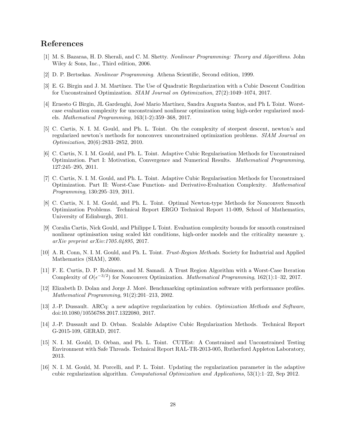## References

- <span id="page-27-0"></span>[1] M. S. Bazaraa, H. D. Sherali, and C. M. Shetty. Nonlinear Programming: Theory and Algorithms. John Wiley & Sons, Inc., Third edition, 2006.
- <span id="page-27-1"></span>[2] D. P. Bertsekas. Nonlinear Programming. Athena Scientific, Second edition, 1999.
- <span id="page-27-10"></span>[3] E. G. Birgin and J. M. Mart´ınez. The Use of Quadratic Regularization with a Cubic Descent Condition for Unconstrained Optimization. SIAM Journal on Optimization, 27(2):1049–1074, 2017.
- <span id="page-27-7"></span>[4] Ernesto G Birgin, JL Gardenghi, José Mario Martínez, Sandra Augusta Santos, and Ph L Toint. Worstcase evaluation complexity for unconstrained nonlinear optimization using high-order regularized models. Mathematical Programming, 163(1-2):359–368, 2017.
- <span id="page-27-3"></span>[5] C. Cartis, N. I. M. Gould, and Ph. L. Toint. On the complexity of steepest descent, newton's and regularized newton's methods for nonconvex unconstrained optimization problems. SIAM Journal on Optimization, 20(6):2833–2852, 2010.
- <span id="page-27-4"></span>[6] C. Cartis, N. I. M. Gould, and Ph. L. Toint. Adaptive Cubic Regularisation Methods for Unconstrained Optimization. Part I: Motivation, Convergence and Numerical Results. Mathematical Programming, 127:245–295, 2011.
- <span id="page-27-5"></span>[7] C. Cartis, N. I. M. Gould, and Ph. L. Toint. Adaptive Cubic Regularisation Methods for Unconstrained Optimization. Part II: Worst-Case Function- and Derivative-Evaluation Complexity. Mathematical Programming, 130:295–319, 2011.
- <span id="page-27-6"></span>[8] C. Cartis, N. I. M. Gould, and Ph. L. Toint. Optimal Newton-type Methods for Nonconvex Smooth Optimization Problems. Technical Report ERGO Technical Report 11-009, School of Mathematics, University of Edinburgh, 2011.
- <span id="page-27-8"></span>[9] Coralia Cartis, Nick Gould, and Philippe L Toint. Evaluation complexity bounds for smooth constrained nonlinear optimisation using scaled kkt conditions, high-order models and the criticality measure  $\chi$ . arXiv preprint arXiv:1705.04895, 2017.
- <span id="page-27-2"></span>[10] A. R. Conn, N. I. M. Gould, and Ph. L. Toint. Trust-Region Methods. Society for Industrial and Applied Mathematics (SIAM), 2000.
- <span id="page-27-9"></span>[11] F. E. Curtis, D. P. Robinson, and M. Samadi. A Trust Region Algorithm with a Worst-Case Iteration Complexity of  $O(\epsilon^{-3/2})$  for Nonconvex Optimization. Mathematical Programming, 162(1):1–32, 2017.
- <span id="page-27-15"></span>[12] Elizabeth D. Dolan and Jorge J. Moré. Benchmarking optimization software with performance profiles. Mathematical Programming, 91(2):201–213, 2002.
- <span id="page-27-11"></span>[13] J.-P. Dussault. ARCq: a new adaptive regularization by cubics. Optimization Methods and Software, doi:10.1080/10556788.2017.1322080, 2017.
- <span id="page-27-12"></span>[14] J.-P. Dussault and D. Orban. Scalable Adaptive Cubic Regularization Methods. Technical Report G-2015-109, GERAD, 2017.
- <span id="page-27-14"></span>[15] N. I. M. Gould, D. Orban, and Ph. L. Toint. CUTEst: A Constrained and Unconstrained Testing Environment with Safe Threads. Technical Report RAL-TR-2013-005, Rutherford Appleton Laboratory, 2013.
- <span id="page-27-13"></span>[16] N. I. M. Gould, M. Porcelli, and P. L. Toint. Updating the regularization parameter in the adaptive cubic regularization algorithm. Computational Optimization and Applications, 53(1):1–22, Sep 2012.